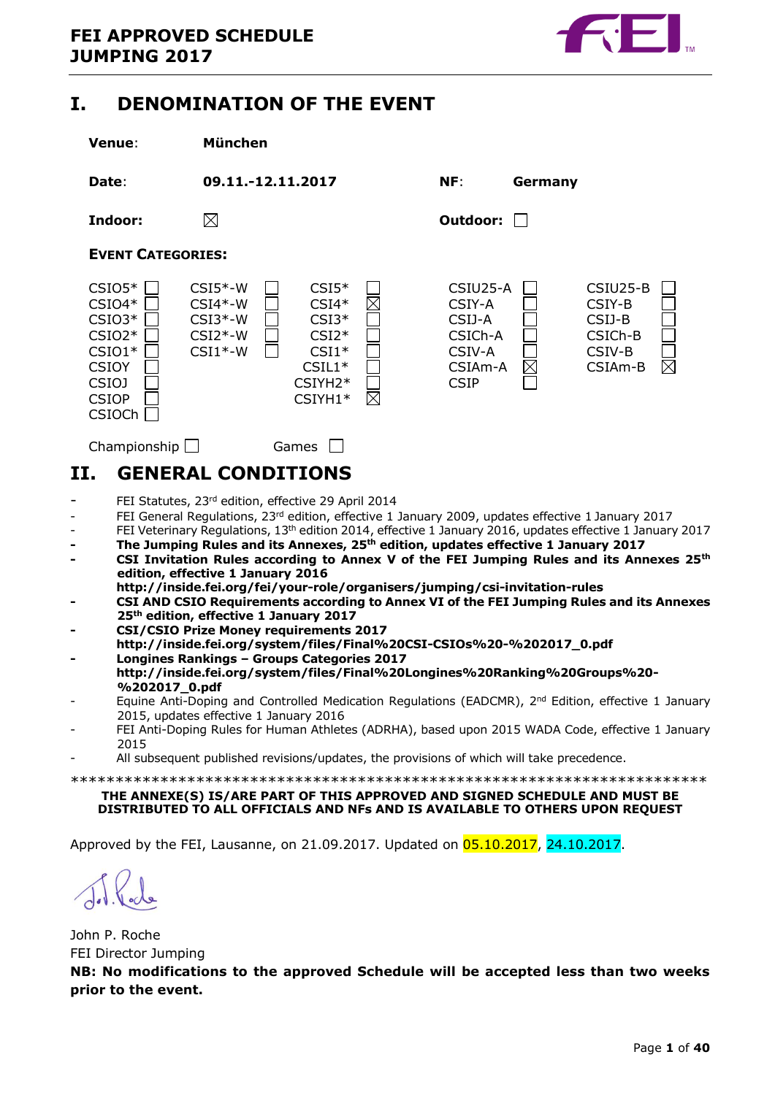

## <span id="page-0-0"></span>**I. DENOMINATION OF THE EVENT**



## <span id="page-0-1"></span>**II. GENERAL CONDITIONS**

- FEI Statutes, 23rd edition, effective 29 April 2014
- FEI General Regulations, 23<sup>rd</sup> edition, effective 1 January 2009, updates effective 1 January 2017
- FEI Veterinary Regulations, 13<sup>th</sup> edition 2014, effective 1 January 2016, updates effective 1 January 2017
- **- The Jumping Rules and its Annexes, 25th edition, updates effective 1 January 2017**
- **- CSI Invitation Rules according to Annex V of the FEI Jumping Rules and its Annexes 25th edition, effective 1 January 2016**
- **http://inside.fei.org/fei/your-role/organisers/jumping/csi-invitation-rules - CSI AND CSIO Requirements according to Annex VI of the FEI Jumping Rules and its Annexes 25th edition, effective 1 January 2017**
- **- CSI/CSIO Prize Money requirements 2017**
- **http://inside.fei.org/system/files/Final%20CSI-CSIOs%20-%202017\_0.pdf - Longines Rankings – Groups Categories 2017**
- **http://inside.fei.org/system/files/Final%20Longines%20Ranking%20Groups%20- %202017\_0.pdf**
- Equine Anti-Doping and Controlled Medication Regulations (EADCMR), 2<sup>nd</sup> Edition, effective 1 January 2015, updates effective 1 January 2016
- FEI Anti-Doping Rules for Human Athletes (ADRHA), based upon 2015 WADA Code, effective 1 January 2015
- All subsequent published revisions/updates, the provisions of which will take precedence.

\*\*\*\*\*\*\*\*\*\*\*\*\*\*\*\*\*\*\*\*\*\*\*\*\*\*\*\*\*\*\*\*\*\*\*\*\*\*\*\*\*\*\*\*\*\*\*\*\*\*\*\*\*\*\*\*\*\*\*\*\*\*\*\*\*\*\*\*\*\*\*

#### **THE ANNEXE(S) IS/ARE PART OF THIS APPROVED AND SIGNED SCHEDULE AND MUST BE DISTRIBUTED TO ALL OFFICIALS AND NFs AND IS AVAILABLE TO OTHERS UPON REQUEST**

Approved by the FEI, Lausanne, on 21.09.2017. Updated on 05.10.2017, 24.10.2017.

John P. Roche FEI Director Jumping **NB: No modifications to the approved Schedule will be accepted less than two weeks prior to the event.**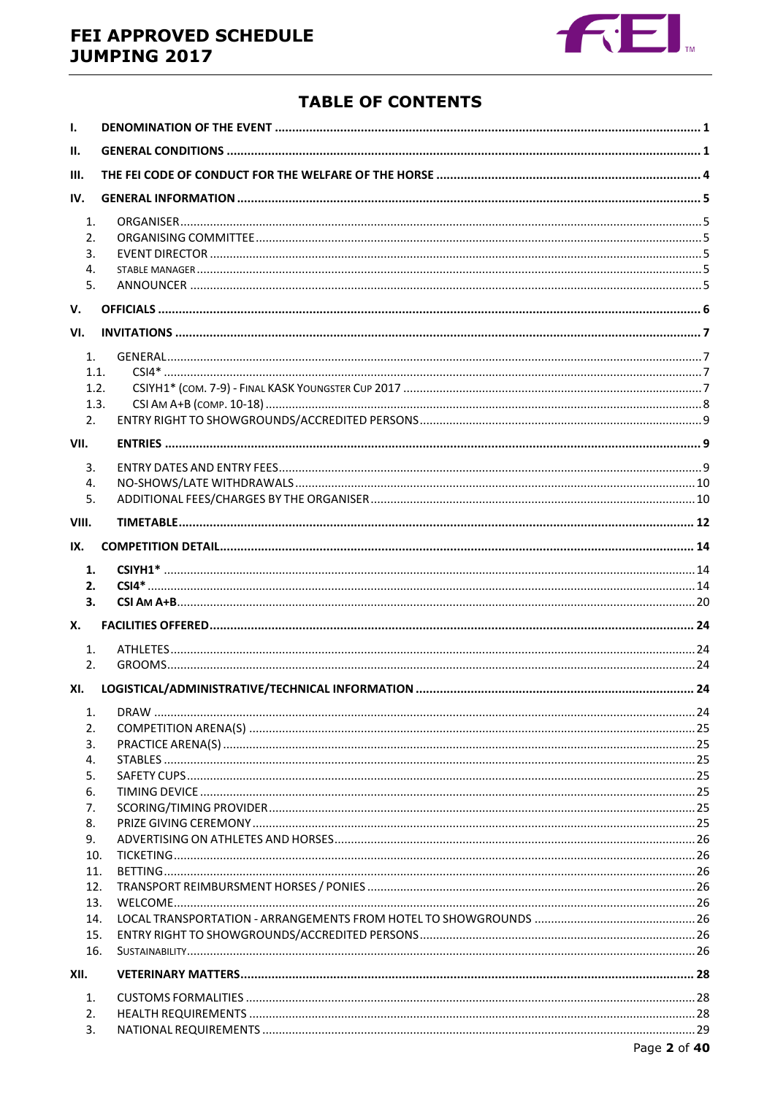## FEI APPROVED SCHEDULE **JUMPING 2017**



## **TABLE OF CONTENTS**

| $\mathbf{I}$ . |  |  |  |  |  |
|----------------|--|--|--|--|--|
| Ш.             |  |  |  |  |  |
| III.           |  |  |  |  |  |
| IV.            |  |  |  |  |  |
| 1.             |  |  |  |  |  |
| 2.             |  |  |  |  |  |
| 3.             |  |  |  |  |  |
| 4.             |  |  |  |  |  |
| 5.             |  |  |  |  |  |
| V.             |  |  |  |  |  |
| VI.            |  |  |  |  |  |
| $\mathbf{1}$ . |  |  |  |  |  |
| 1.1.           |  |  |  |  |  |
| 1.2.           |  |  |  |  |  |
| 1.3.           |  |  |  |  |  |
| 2.             |  |  |  |  |  |
| VII.           |  |  |  |  |  |
| 3.             |  |  |  |  |  |
| 4.             |  |  |  |  |  |
| 5.             |  |  |  |  |  |
| VIII.          |  |  |  |  |  |
| IX.            |  |  |  |  |  |
| 1.             |  |  |  |  |  |
| 2.             |  |  |  |  |  |
| 3.             |  |  |  |  |  |
| Х.             |  |  |  |  |  |
| $\mathbf{1}$ . |  |  |  |  |  |
| 2.             |  |  |  |  |  |
| XI.            |  |  |  |  |  |
|                |  |  |  |  |  |
| 1.             |  |  |  |  |  |
| 2.             |  |  |  |  |  |
| 3.             |  |  |  |  |  |
| 4.<br>5.       |  |  |  |  |  |
| 6.             |  |  |  |  |  |
| 7.             |  |  |  |  |  |
| 8.             |  |  |  |  |  |
| 9.             |  |  |  |  |  |
| 10.            |  |  |  |  |  |
| 11.            |  |  |  |  |  |
| 12.            |  |  |  |  |  |
| 13.            |  |  |  |  |  |
| 14.            |  |  |  |  |  |
| 15.            |  |  |  |  |  |
| 16.            |  |  |  |  |  |
| XII.           |  |  |  |  |  |
| 1.             |  |  |  |  |  |
| 2.             |  |  |  |  |  |
| 3.             |  |  |  |  |  |
|                |  |  |  |  |  |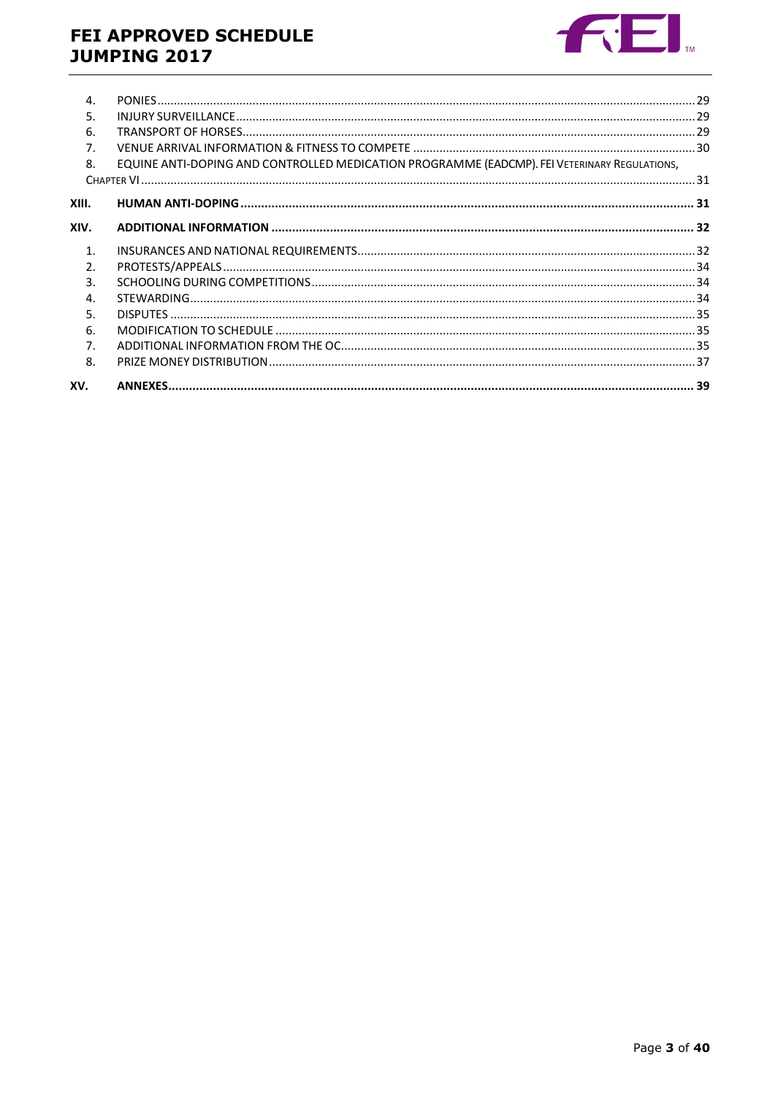## FEI APPROVED SCHEDULE **JUMPING 2017**



| $\mathbf{4}$ . |                                                                                              |  |
|----------------|----------------------------------------------------------------------------------------------|--|
| 5.             |                                                                                              |  |
| 6.             |                                                                                              |  |
| 7.             |                                                                                              |  |
| 8.             | EQUINE ANTI-DOPING AND CONTROLLED MEDICATION PROGRAMME (EADCMP). FEI VETERINARY REGULATIONS, |  |
|                |                                                                                              |  |
| XIII.          |                                                                                              |  |
| XIV.           |                                                                                              |  |
| $\mathbf{1}$ . |                                                                                              |  |
| $\mathcal{P}$  |                                                                                              |  |
| 3.             |                                                                                              |  |
| 4.             |                                                                                              |  |
| 5.             |                                                                                              |  |
| 6.             |                                                                                              |  |
| 7.             |                                                                                              |  |
| 8.             |                                                                                              |  |
| XV.            |                                                                                              |  |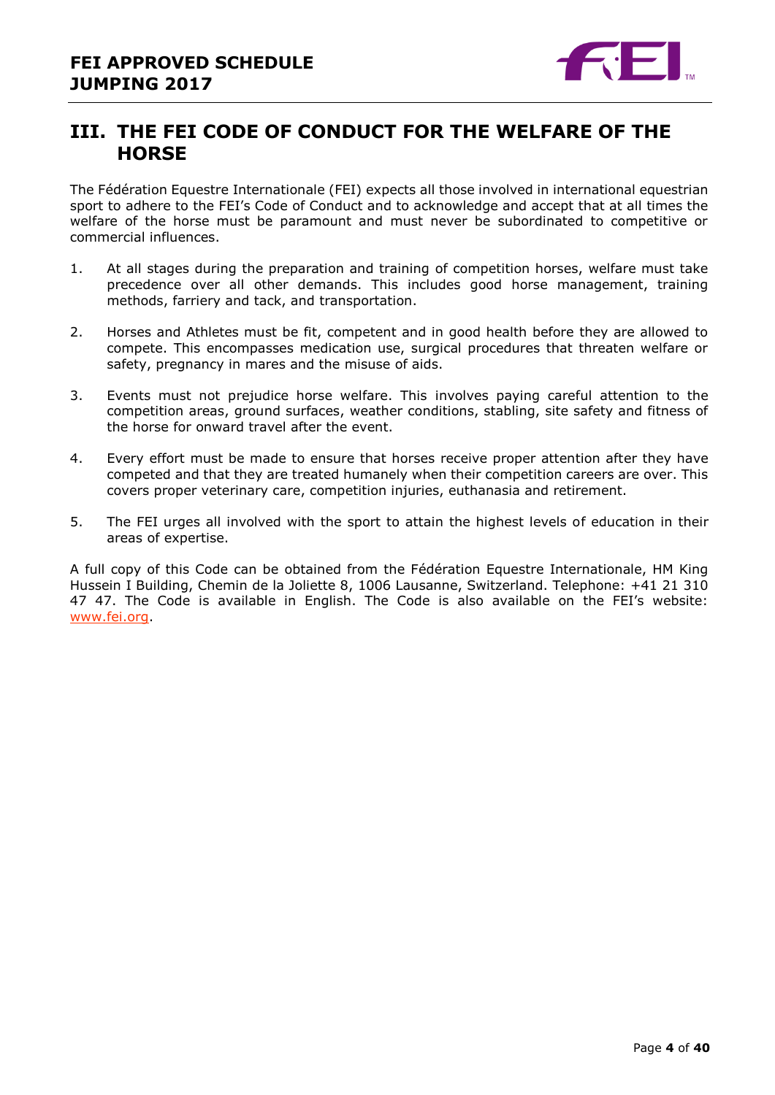

## <span id="page-3-0"></span>**III. THE FEI CODE OF CONDUCT FOR THE WELFARE OF THE HORSE**

The Fédération Equestre Internationale (FEI) expects all those involved in international equestrian sport to adhere to the FEI's Code of Conduct and to acknowledge and accept that at all times the welfare of the horse must be paramount and must never be subordinated to competitive or commercial influences.

- 1. At all stages during the preparation and training of competition horses, welfare must take precedence over all other demands. This includes good horse management, training methods, farriery and tack, and transportation.
- 2. Horses and Athletes must be fit, competent and in good health before they are allowed to compete. This encompasses medication use, surgical procedures that threaten welfare or safety, pregnancy in mares and the misuse of aids.
- 3. Events must not prejudice horse welfare. This involves paying careful attention to the competition areas, ground surfaces, weather conditions, stabling, site safety and fitness of the horse for onward travel after the event.
- 4. Every effort must be made to ensure that horses receive proper attention after they have competed and that they are treated humanely when their competition careers are over. This covers proper veterinary care, competition injuries, euthanasia and retirement.
- 5. The FEI urges all involved with the sport to attain the highest levels of education in their areas of expertise.

A full copy of this Code can be obtained from the Fédération Equestre Internationale, HM King Hussein I Building, Chemin de la Joliette 8, 1006 Lausanne, Switzerland. Telephone: +41 21 310 47 47. The Code is available in English. The Code is also available on the FEI's website: [www.fei.org.](http://www.fei.org/)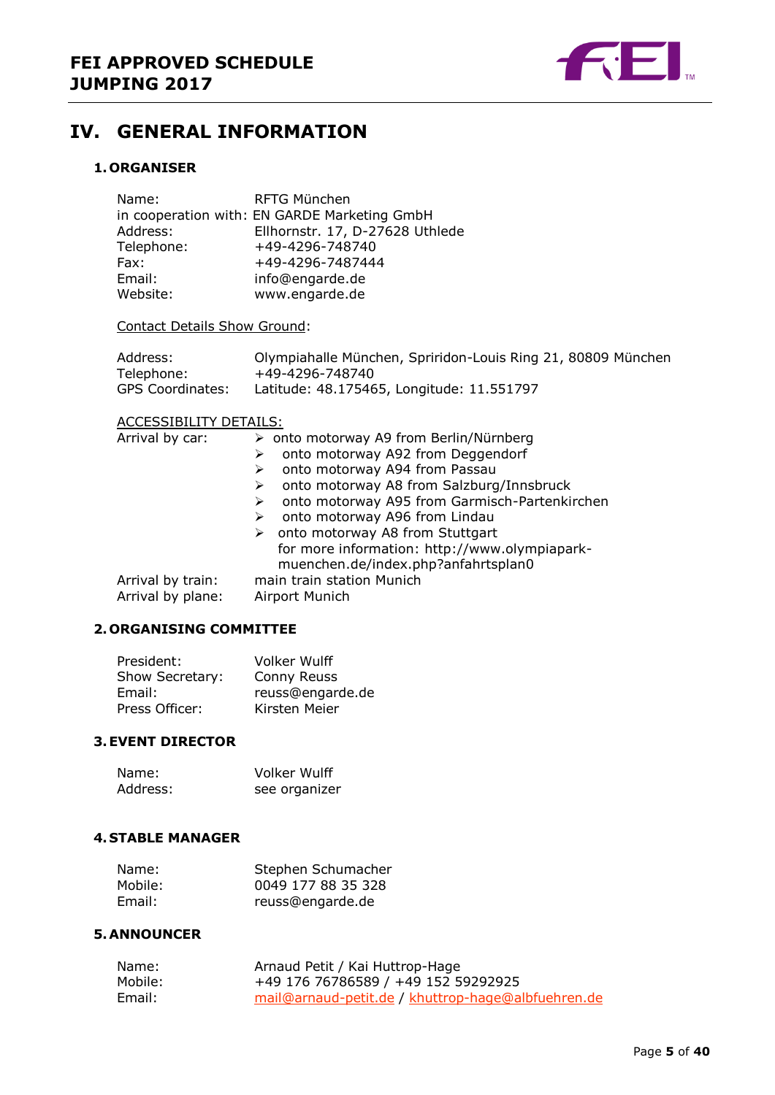

## <span id="page-4-0"></span>**IV. GENERAL INFORMATION**

### <span id="page-4-1"></span>**1. ORGANISER**

| Name:      | RFTG München                                 |
|------------|----------------------------------------------|
|            | in cooperation with: EN GARDE Marketing GmbH |
| Address:   | Ellhornstr. 17, D-27628 Uthlede              |
| Telephone: | +49-4296-748740                              |
| Fax:       | +49-4296-7487444                             |
| Email:     | info@engarde.de                              |
| Website:   | www.engarde.de                               |

Contact Details Show Ground:

| Address:         | Olympiahalle München, Spriridon-Louis Ring 21, 80809 München |
|------------------|--------------------------------------------------------------|
| Telephone:       | +49-4296-748740                                              |
| GPS Coordinates: | Latitude: 48.175465, Longitude: 11.551797                    |

#### ACCESSIBILITY DETAILS:

| Arrival by car:   | > onto motorway A9 from Berlin/Nürnberg            |
|-------------------|----------------------------------------------------|
|                   | onto motorway A92 from Deggendorf                  |
|                   | onto motorway A94 from Passau<br>➤                 |
|                   | onto motorway A8 from Salzburg/Innsbruck           |
|                   | onto motorway A95 from Garmisch-Partenkirchen<br>➤ |
|                   | onto motorway A96 from Lindau<br>➤                 |
|                   | onto motorway A8 from Stuttgart<br>➤               |
|                   | for more information: http://www.olympiapark-      |
|                   | muenchen.de/index.php?anfahrtsplan0                |
| Arrival by train: | main train station Munich                          |
| Arrival by plane: | Airport Munich                                     |
|                   |                                                    |

#### <span id="page-4-2"></span>**2. ORGANISING COMMITTEE**

| President:      | <b>Volker Wulff</b> |
|-----------------|---------------------|
| Show Secretary: | Conny Reuss         |
| Email:          | reuss@engarde.de    |
| Press Officer:  | Kirsten Meier       |

#### <span id="page-4-3"></span>**3.EVENT DIRECTOR**

| Name:    | Volker Wulff  |
|----------|---------------|
| Address: | see organizer |

#### <span id="page-4-4"></span>**4. STABLE MANAGER**

| Name:   | Stephen Schumacher |
|---------|--------------------|
| Mobile: | 0049 177 88 35 328 |
| Email:  | reuss@engarde.de   |

#### <span id="page-4-5"></span>**5.ANNOUNCER**

| Name:   | Arnaud Petit / Kai Huttrop-Hage                    |
|---------|----------------------------------------------------|
| Mobile: | +49 176 76786589 / +49 152 59292925                |
| Email:  | mail@arnaud-petit.de / khuttrop-hage@albfuehren.de |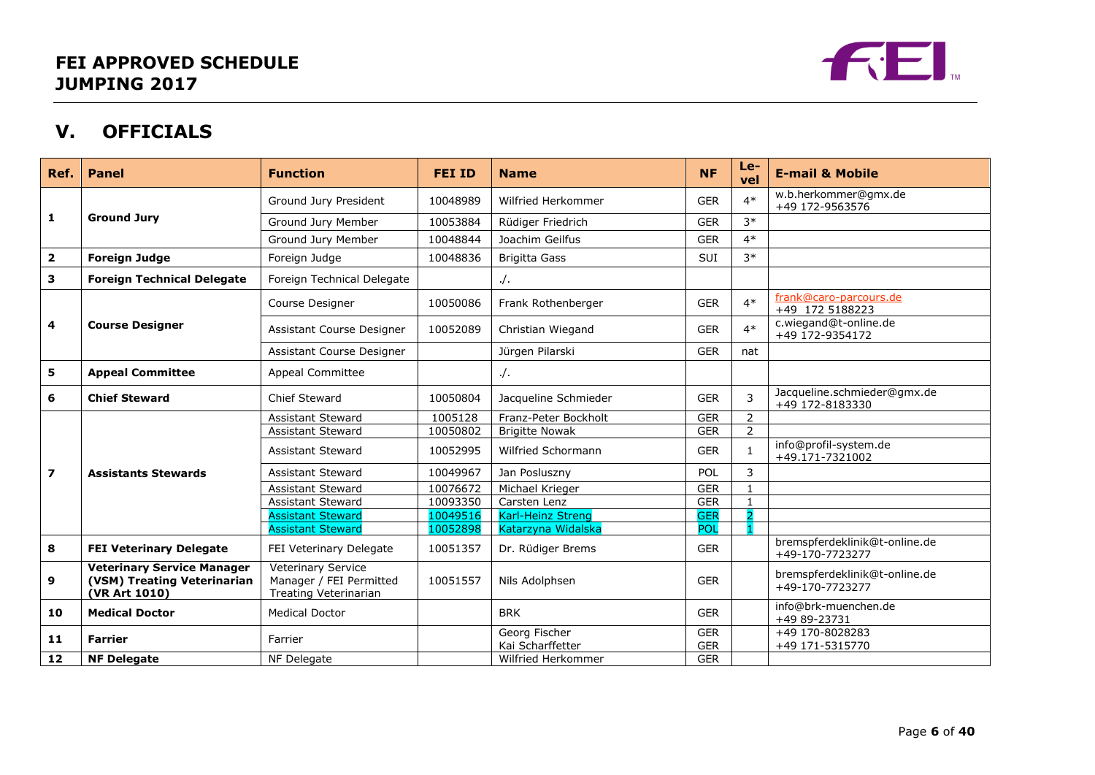

## **V. OFFICIALS**

<span id="page-5-0"></span>

| Ref.           | <b>Panel</b>                                                                      | <b>Function</b>                                                                      | <b>FEI ID</b> | <b>Name</b>                       | <b>NF</b>                | $Le-$<br>vel   | <b>E-mail &amp; Mobile</b>                       |
|----------------|-----------------------------------------------------------------------------------|--------------------------------------------------------------------------------------|---------------|-----------------------------------|--------------------------|----------------|--------------------------------------------------|
|                |                                                                                   | Ground Jury President                                                                | 10048989      | Wilfried Herkommer                | <b>GER</b>               | $4*$           | w.b.herkommer@gmx.de<br>+49 172-9563576          |
| 1              | <b>Ground Jury</b>                                                                | Ground Jury Member                                                                   | 10053884      | Rüdiger Friedrich                 | <b>GER</b>               | $3*$           |                                                  |
|                |                                                                                   | Ground Jury Member                                                                   | 10048844      | Joachim Geilfus                   | <b>GER</b>               | $4*$           |                                                  |
| $\mathbf{2}$   | <b>Foreign Judge</b>                                                              | Foreign Judge                                                                        | 10048836      | <b>Brigitta Gass</b>              | <b>SUI</b>               | $3*$           |                                                  |
| 3              | <b>Foreign Technical Delegate</b>                                                 | Foreign Technical Delegate                                                           |               | $\cdot$ /.                        |                          |                |                                                  |
|                |                                                                                   | Course Designer                                                                      | 10050086      | Frank Rothenberger                | <b>GER</b>               | $4*$           | frank@caro-parcours.de<br>+49 172 5188223        |
| 4              | <b>Course Designer</b>                                                            | Assistant Course Designer                                                            | 10052089      | Christian Wiegand                 | <b>GER</b>               | $4*$           | c.wiegand@t-online.de<br>+49 172-9354172         |
|                |                                                                                   | Assistant Course Designer                                                            |               | Jürgen Pilarski                   | <b>GER</b>               | nat            |                                                  |
| 5              | <b>Appeal Committee</b>                                                           | Appeal Committee                                                                     |               | $\cdot$ /.                        |                          |                |                                                  |
| 6              | <b>Chief Steward</b>                                                              | Chief Steward                                                                        | 10050804      | Jacqueline Schmieder              | <b>GER</b>               | 3              | Jacqueline.schmieder@gmx.de<br>+49 172-8183330   |
|                |                                                                                   | <b>Assistant Steward</b>                                                             | 1005128       | Franz-Peter Bockholt              | <b>GER</b>               | $\overline{2}$ |                                                  |
|                |                                                                                   | <b>Assistant Steward</b>                                                             | 10050802      | <b>Brigitte Nowak</b>             | <b>GER</b>               | $\overline{2}$ |                                                  |
|                |                                                                                   | <b>Assistant Steward</b>                                                             | 10052995      | Wilfried Schormann                | <b>GER</b>               | $\mathbf{1}$   | info@profil-system.de<br>+49.171-7321002         |
| $\overline{ }$ | <b>Assistants Stewards</b>                                                        | <b>Assistant Steward</b>                                                             | 10049967      | Jan Posluszny                     | POL                      | 3              |                                                  |
|                |                                                                                   | <b>Assistant Steward</b>                                                             | 10076672      | Michael Krieger                   | <b>GER</b>               | $\mathbf{1}$   |                                                  |
|                |                                                                                   | <b>Assistant Steward</b>                                                             | 10093350      | Carsten Lenz                      | <b>GER</b>               |                |                                                  |
|                |                                                                                   | <b>Assistant Steward</b>                                                             | 10049516      | Karl-Heinz Streng                 | <b>GER</b>               | $\overline{ }$ |                                                  |
|                |                                                                                   | <b>Assistant Steward</b>                                                             | 10052898      | Katarzyna Widalska                | <b>POL</b>               |                |                                                  |
| 8              | <b>FEI Veterinary Delegate</b>                                                    | FEI Veterinary Delegate                                                              | 10051357      | Dr. Rüdiger Brems                 | <b>GER</b>               |                | bremspferdeklinik@t-online.de<br>+49-170-7723277 |
| 9              | <b>Veterinary Service Manager</b><br>(VSM) Treating Veterinarian<br>(VR Art 1010) | <b>Veterinary Service</b><br>Manager / FEI Permitted<br><b>Treating Veterinarian</b> | 10051557      | Nils Adolphsen                    | <b>GER</b>               |                | bremspferdeklinik@t-online.de<br>+49-170-7723277 |
| 10             | <b>Medical Doctor</b>                                                             | <b>Medical Doctor</b>                                                                |               | <b>BRK</b>                        | <b>GER</b>               |                | info@brk-muenchen.de<br>+49 89-23731             |
| 11             | <b>Farrier</b>                                                                    | Farrier                                                                              |               | Georg Fischer<br>Kai Scharffetter | <b>GER</b><br><b>GER</b> |                | +49 170-8028283<br>+49 171-5315770               |
| 12             | <b>NF Delegate</b>                                                                | NF Delegate                                                                          |               | Wilfried Herkommer                | <b>GER</b>               |                |                                                  |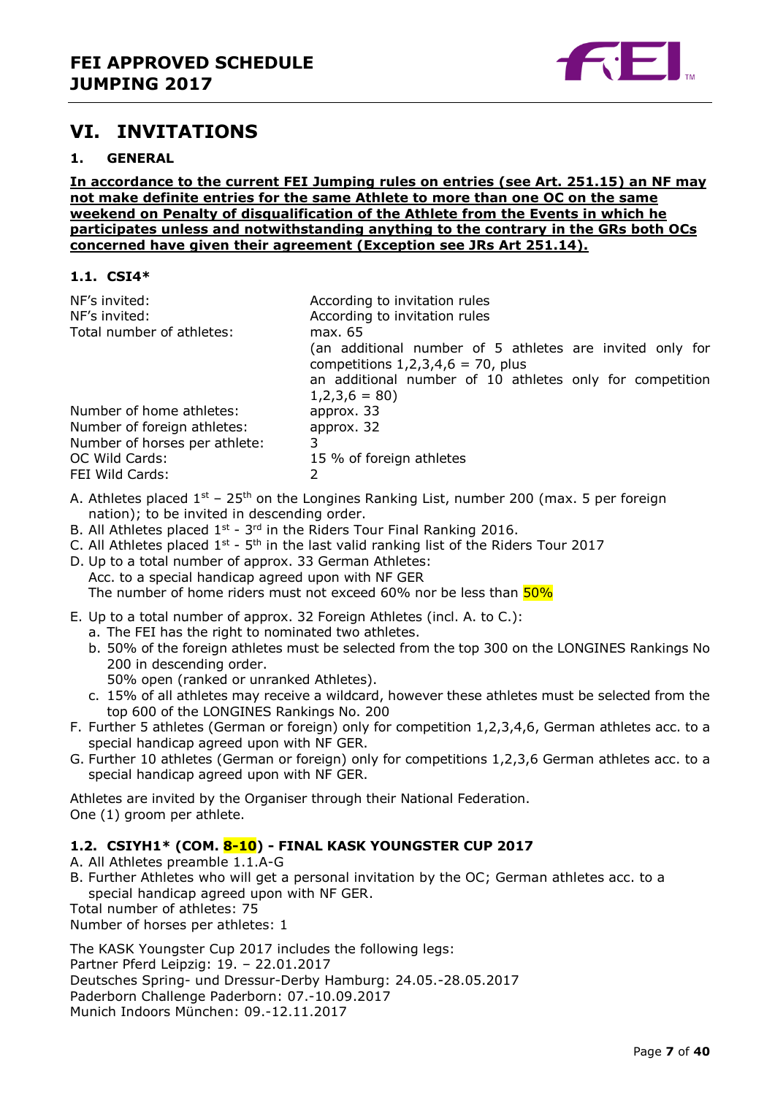

## <span id="page-6-0"></span>**VI. INVITATIONS**

#### <span id="page-6-1"></span>**1. GENERAL**

**In accordance to the current FEI Jumping rules on entries (see Art. 251.15) an NF may not make definite entries for the same Athlete to more than one OC on the same weekend on Penalty of disqualification of the Athlete from the Events in which he participates unless and notwithstanding anything to the contrary in the GRs both OCs concerned have given their agreement (Exception see JRs Art 251.14).**

#### <span id="page-6-2"></span>**1.1. CSI4\***

| NF's invited:<br>NF's invited:<br>Total number of athletes:                                                                   | According to invitation rules<br>According to invitation rules<br>max. 65<br>(an additional number of 5 athletes are invited only for<br>competitions $1,2,3,4,6 = 70$ , plus<br>an additional number of 10 athletes only for competition |
|-------------------------------------------------------------------------------------------------------------------------------|-------------------------------------------------------------------------------------------------------------------------------------------------------------------------------------------------------------------------------------------|
| Number of home athletes:<br>Number of foreign athletes:<br>Number of horses per athlete:<br>OC Wild Cards:<br>FEI Wild Cards: | $1,2,3,6 = 80$<br>approx. 33<br>approx. 32<br>3<br>15 % of foreign athletes<br>2                                                                                                                                                          |

- A. Athletes placed  $1^{st}$  25<sup>th</sup> on the Longines Ranking List, number 200 (max. 5 per foreign nation); to be invited in descending order.
- B. All Athletes placed  $1^{st}$   $3^{rd}$  in the Riders Tour Final Ranking 2016.
- C. All Athletes placed  $1^{st}$   $5^{th}$  in the last valid ranking list of the Riders Tour 2017
- D. Up to a total number of approx. 33 German Athletes: Acc. to a special handicap agreed upon with NF GER The number of home riders must not exceed 60% nor be less than  $50\%$
- E. Up to a total number of approx. 32 Foreign Athletes (incl. A. to C.):
	- a. The FEI has the right to nominated two athletes. b. 50% of the foreign athletes must be selected from the top 300 on the LONGINES Rankings No 200 in descending order.
		- 50% open (ranked or unranked Athletes).
	- c. 15% of all athletes may receive a wildcard, however these athletes must be selected from the top 600 of the LONGINES Rankings No. 200
- F. Further 5 athletes (German or foreign) only for competition 1,2,3,4,6, German athletes acc. to a special handicap agreed upon with NF GER.
- G. Further 10 athletes (German or foreign) only for competitions 1,2,3,6 German athletes acc. to a special handicap agreed upon with NF GER.

Athletes are invited by the Organiser through their National Federation. One (1) groom per athlete.

#### <span id="page-6-3"></span>**1.2. CSIYH1\* (COM. 8-10) - FINAL KASK YOUNGSTER CUP 2017**

A. All Athletes preamble 1.1.A-G

B. Further Athletes who will get a personal invitation by the OC; German athletes acc. to a special handicap agreed upon with NF GER.

Total number of athletes: 75

Number of horses per athletes: 1

The KASK Youngster Cup 2017 includes the following legs: Partner Pferd Leipzig: 19. – 22.01.2017 Deutsches Spring- und Dressur-Derby Hamburg: 24.05.-28.05.2017 Paderborn Challenge Paderborn: 07.-10.09.2017 Munich Indoors München: 09.-12.11.2017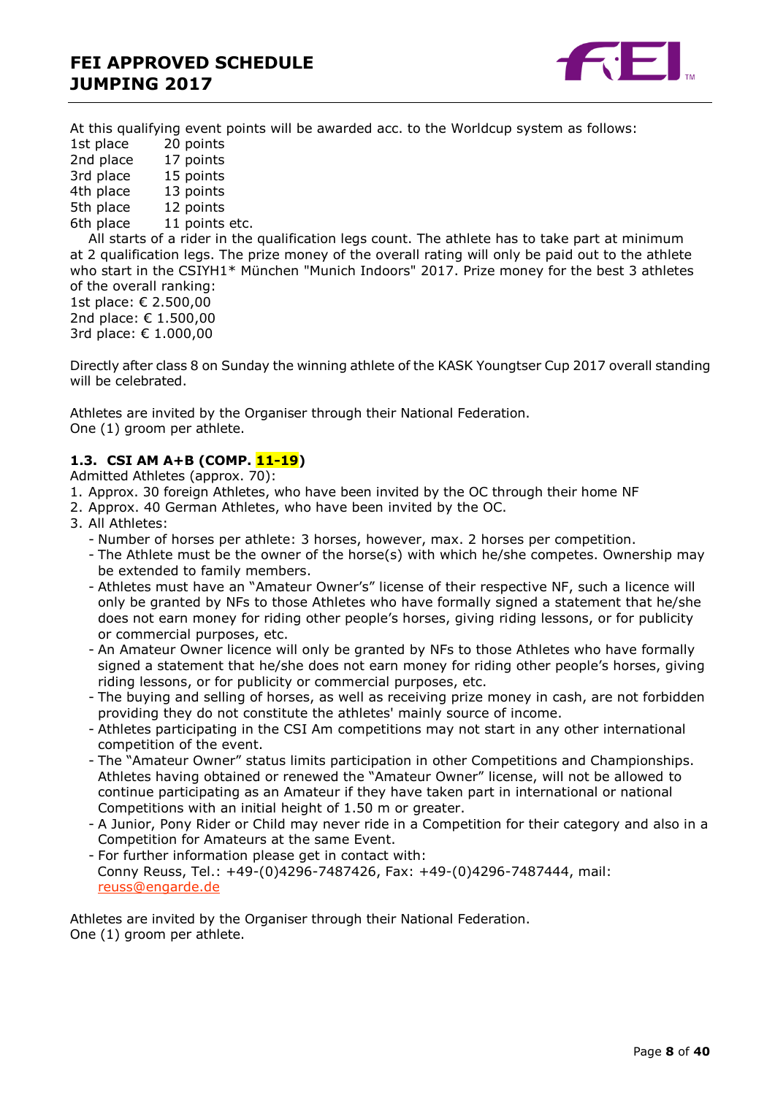

At this qualifying event points will be awarded acc. to the Worldcup system as follows:

1st place 20 points 2nd place 17 points 3rd place 15 points<br>4th place 13 points 4th place 5th place 12 points 6th place 11 points etc.

All starts of a rider in the qualification legs count. The athlete has to take part at minimum at 2 qualification legs. The prize money of the overall rating will only be paid out to the athlete who start in the CSIYH1\* München "Munich Indoors" 2017. Prize money for the best 3 athletes of the overall ranking:

1st place: € 2.500,00 2nd place: € 1.500,00 3rd place: € 1.000,00

Directly after class 8 on Sunday the winning athlete of the KASK Youngtser Cup 2017 overall standing will be celebrated.

Athletes are invited by the Organiser through their National Federation. One (1) groom per athlete.

#### <span id="page-7-0"></span>**1.3. CSI AM A+B (COMP. 11-19)**

Admitted Athletes (approx. 70):

- 1. Approx. 30 foreign Athletes, who have been invited by the OC through their home NF
- 2. Approx. 40 German Athletes, who have been invited by the OC.
- 3. All Athletes:
	- Number of horses per athlete: 3 horses, however, max. 2 horses per competition.
	- The Athlete must be the owner of the horse(s) with which he/she competes. Ownership may be extended to family members.
	- Athletes must have an "Amateur Owner's" license of their respective NF, such a licence will only be granted by NFs to those Athletes who have formally signed a statement that he/she does not earn money for riding other people's horses, giving riding lessons, or for publicity or commercial purposes, etc.
	- An Amateur Owner licence will only be granted by NFs to those Athletes who have formally signed a statement that he/she does not earn money for riding other people's horses, giving riding lessons, or for publicity or commercial purposes, etc.
	- The buying and selling of horses, as well as receiving prize money in cash, are not forbidden providing they do not constitute the athletes' mainly source of income.
	- Athletes participating in the CSI Am competitions may not start in any other international competition of the event.
	- The "Amateur Owner" status limits participation in other Competitions and Championships. Athletes having obtained or renewed the "Amateur Owner" license, will not be allowed to continue participating as an Amateur if they have taken part in international or national Competitions with an initial height of 1.50 m or greater.
	- A Junior, Pony Rider or Child may never ride in a Competition for their category and also in a Competition for Amateurs at the same Event.
	- For further information please get in contact with: Conny Reuss, Tel.: +49-(0)4296-7487426, Fax: +49-(0)4296-7487444, mail: [reuss@engarde.de](mailto:reuss@engarde.de)

Athletes are invited by the Organiser through their National Federation. One (1) groom per athlete.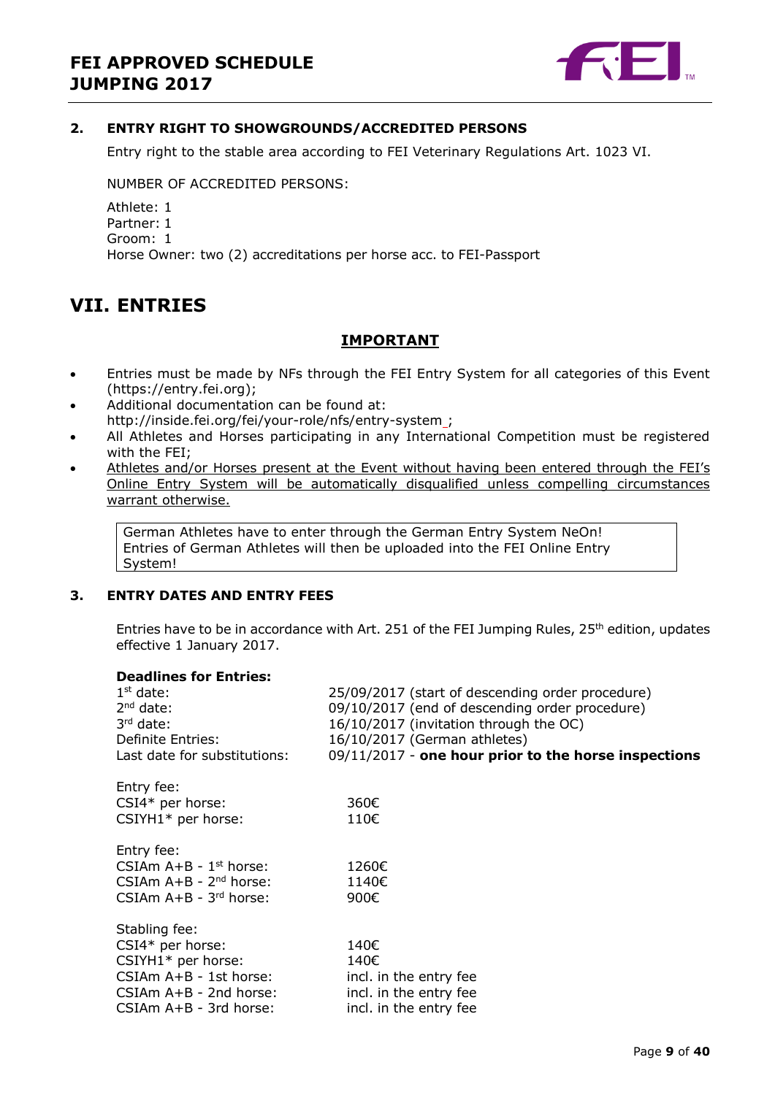

#### <span id="page-8-0"></span>**2. ENTRY RIGHT TO SHOWGROUNDS/ACCREDITED PERSONS**

Entry right to the stable area according to FEI Veterinary Regulations Art. 1023 VI.

NUMBER OF ACCREDITED PERSONS:

Athlete: 1 Partner: 1 Groom: 1 Horse Owner: two (2) accreditations per horse acc. to FEI-Passport

## <span id="page-8-1"></span>**VII. ENTRIES**

### **IMPORTANT**

- Entries must be made by NFs through the FEI Entry System for all categories of this Event (https://entry.fei.org);
- Additional documentation can be found at: http://inside.fei.org/fei/your-role/nfs/entry-system ;
- All Athletes and Horses participating in any International Competition must be registered with the FEI;
- Athletes and/or Horses present at the Event without having been entered through the FEI's Online Entry System will be automatically disqualified unless compelling circumstances warrant otherwise.

German Athletes have to enter through the German Entry System NeOn! Entries of German Athletes will then be uploaded into the FEI Online Entry System!

#### <span id="page-8-2"></span>**3. ENTRY DATES AND ENTRY FEES**

Entries have to be in accordance with Art. 251 of the FEI Jumping Rules, 25<sup>th</sup> edition, updates effective 1 January 2017.

#### **Deadlines for Entries:**

| $1st$ date:<br>$2nd$ date:<br>$3rd$ date: | 25/09/2017 (start of descending order procedure)<br>09/10/2017 (end of descending order procedure)<br>16/10/2017 (invitation through the OC) |
|-------------------------------------------|----------------------------------------------------------------------------------------------------------------------------------------------|
| Definite Entries:                         | 16/10/2017 (German athletes)                                                                                                                 |
| Last date for substitutions:              | 09/11/2017 - one hour prior to the horse inspections                                                                                         |
| Entry fee:                                |                                                                                                                                              |
| $CSI4*$ per horse:                        | 360€                                                                                                                                         |
| $CSIYH1*$ per horse:                      | 110€                                                                                                                                         |
| Entry fee:                                |                                                                                                                                              |
| CSIAm $A+B - 1$ <sup>st</sup> horse:      | 1260€                                                                                                                                        |
| CSIAm $A+B - 2^{nd}$ horse:               | 1140€                                                                                                                                        |
| CSIAm $A+B - 3^{rd}$ horse:               | 900€                                                                                                                                         |
| Stabling fee:                             |                                                                                                                                              |
| CSI4* per horse:                          | 140€                                                                                                                                         |
| $CSIYH1*$ per horse:                      | 140€                                                                                                                                         |
| CSIAm A+B - 1st horse:                    | incl. in the entry fee                                                                                                                       |
| CSIAm A+B - 2nd horse:                    | incl. in the entry fee                                                                                                                       |
| $CSIAm A+B - 3rd horse:$                  | incl. in the entry fee                                                                                                                       |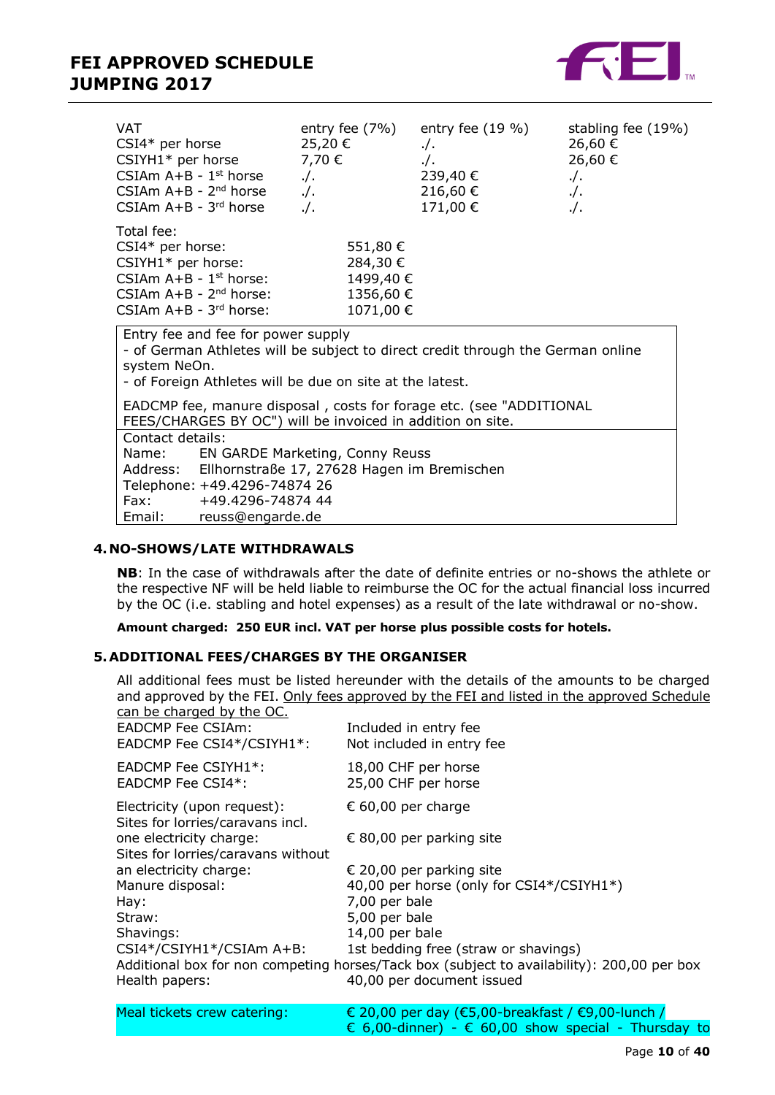

| VAT<br>$CSI4*$ per horse<br>$CSIYH1*$ per horse<br>CSIAm $A+B - 1$ <sup>st</sup> horse<br>CSIAm $A+B - 2^{nd}$ horse<br>CSIAm $A+B - 3^{rd}$ horse                                                | entry fee $(7%)$<br>25,20€<br>7,70 €<br>$.$ / $.$<br>$\frac{1}{2}$ .<br>$.$ /. | entry fee $(19\%)$<br>$. /$ .<br>$\cdot$ /.<br>239,40 €<br>216,60€<br>171,00 € | stabling fee (19%)<br>26,60 €<br>26,60€<br>$\cdot$ /.<br>$. /$ .<br>$\cdot$ . |
|---------------------------------------------------------------------------------------------------------------------------------------------------------------------------------------------------|--------------------------------------------------------------------------------|--------------------------------------------------------------------------------|-------------------------------------------------------------------------------|
| Total fee:<br>$CSI4*$ per horse:<br>CSIYH1* per horse:<br>CSIAm $A+B - 1$ <sup>st</sup> horse:<br>CSIAm $A+B - 2^{nd}$ horse:<br>CSIAm $A+B - 3^{rd}$ horse:                                      | 551,80€<br>284,30 €<br>1499,40 €<br>1356,60 €<br>1071,00 €                     |                                                                                |                                                                               |
| Entry fee and fee for power supply<br>- of German Athletes will be subject to direct credit through the German online<br>system NeOn.<br>- of Foreign Athletes will be due on site at the latest. |                                                                                |                                                                                |                                                                               |

EADCMP fee, manure disposal , costs for forage etc. (see "ADDITIONAL FEES/CHARGES BY OC") will be invoiced in addition on site.

| Contact details: |                                                      |
|------------------|------------------------------------------------------|
| Name:            | EN GARDE Marketing, Conny Reuss                      |
|                  | Address: Ellhornstraße 17, 27628 Hagen im Bremischen |
|                  | Telephone: +49.4296-74874 26                         |
| Fax:             | +49.4296-74874 44                                    |
| Email:           | reuss@engarde.de                                     |

#### <span id="page-9-0"></span>**4. NO-SHOWS/LATE WITHDRAWALS**

**NB**: In the case of withdrawals after the date of definite entries or no-shows the athlete or the respective NF will be held liable to reimburse the OC for the actual financial loss incurred by the OC (i.e. stabling and hotel expenses) as a result of the late withdrawal or no-show.

#### **Amount charged: 250 EUR incl. VAT per horse plus possible costs for hotels.**

#### <span id="page-9-1"></span>**5.ADDITIONAL FEES/CHARGES BY THE ORGANISER**

| can be charged by the OC.<br>EADCMP Fee CSIAm:<br>EADCMP Fee CSI4*/CSIYH1*:                                                      | All additional fees must be listed hereunder with the details of the amounts to be charged<br>and approved by the FEI. Only fees approved by the FEI and listed in the approved Schedule<br>Included in entry fee<br>Not included in entry fee |
|----------------------------------------------------------------------------------------------------------------------------------|------------------------------------------------------------------------------------------------------------------------------------------------------------------------------------------------------------------------------------------------|
| $EADCMP$ Fee $CSIYH1*$ :<br>EADCMP Fee CSI4*:                                                                                    | 18,00 CHF per horse<br>25,00 CHF per horse                                                                                                                                                                                                     |
| Electricity (upon request):<br>Sites for lorries/caravans incl.<br>one electricity charge:<br>Sites for lorries/caravans without | € 60,00 per charge<br>€ 80,00 per parking site                                                                                                                                                                                                 |
| an electricity charge:<br>Manure disposal:<br>Hay:<br>Straw:<br>Shavings:                                                        | € 20,00 per parking site<br>40,00 per horse (only for CSI4*/CSIYH1*)<br>7,00 per bale<br>5,00 per bale<br>14,00 per bale                                                                                                                       |
| CSI4*/CSIYH1*/CSIAm A+B:<br>Health papers:                                                                                       | 1st bedding free (straw or shavings)<br>Additional box for non competing horses/Tack box (subject to availability): 200,00 per box<br>40,00 per document issued                                                                                |

| Meal tickets crew catering: | € 20,00 per day (€5,00-breakfast / €9,00-lunch /                      |
|-----------------------------|-----------------------------------------------------------------------|
|                             | $\epsilon$ 6,00-dinner) - $\epsilon$ 60,00 show special - Thursday to |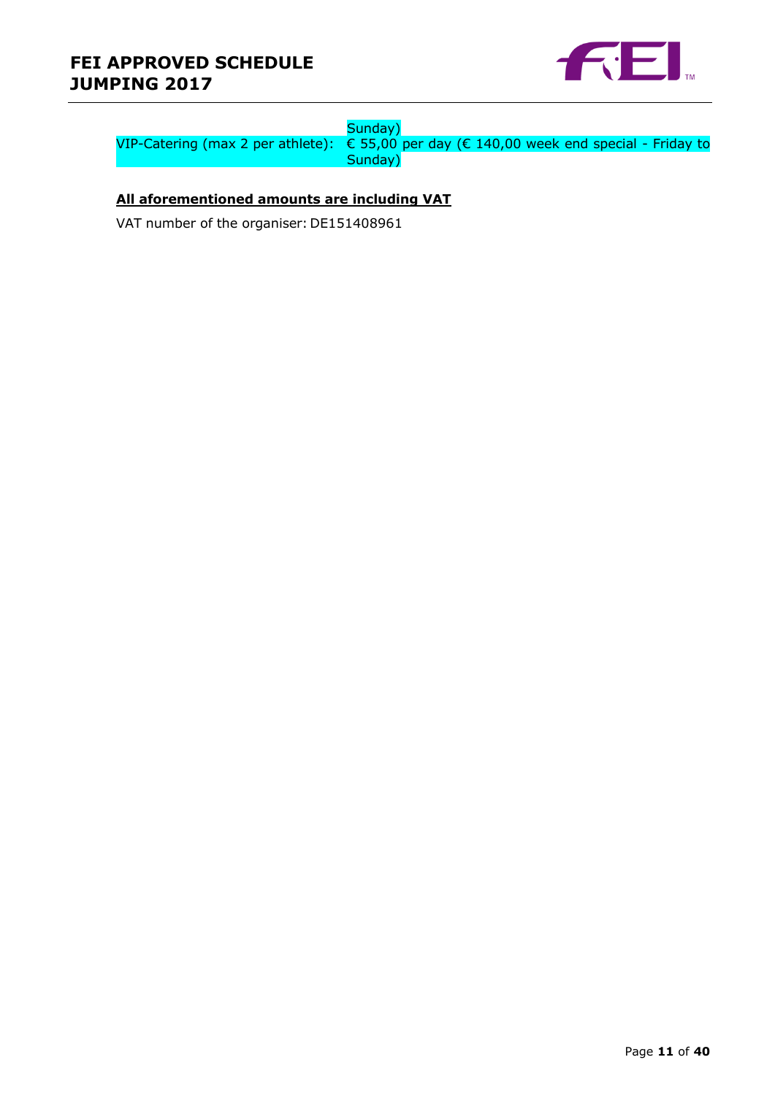## **FEI APPROVED SCHEDULE JUMPING 2017**



### Sunday)

VIP-Catering (max 2 per athlete): € 55,00 per day (€ 140,00 week end special - Friday to Sunday)

#### **All aforementioned amounts are including VAT**

VAT number of the organiser: DE151408961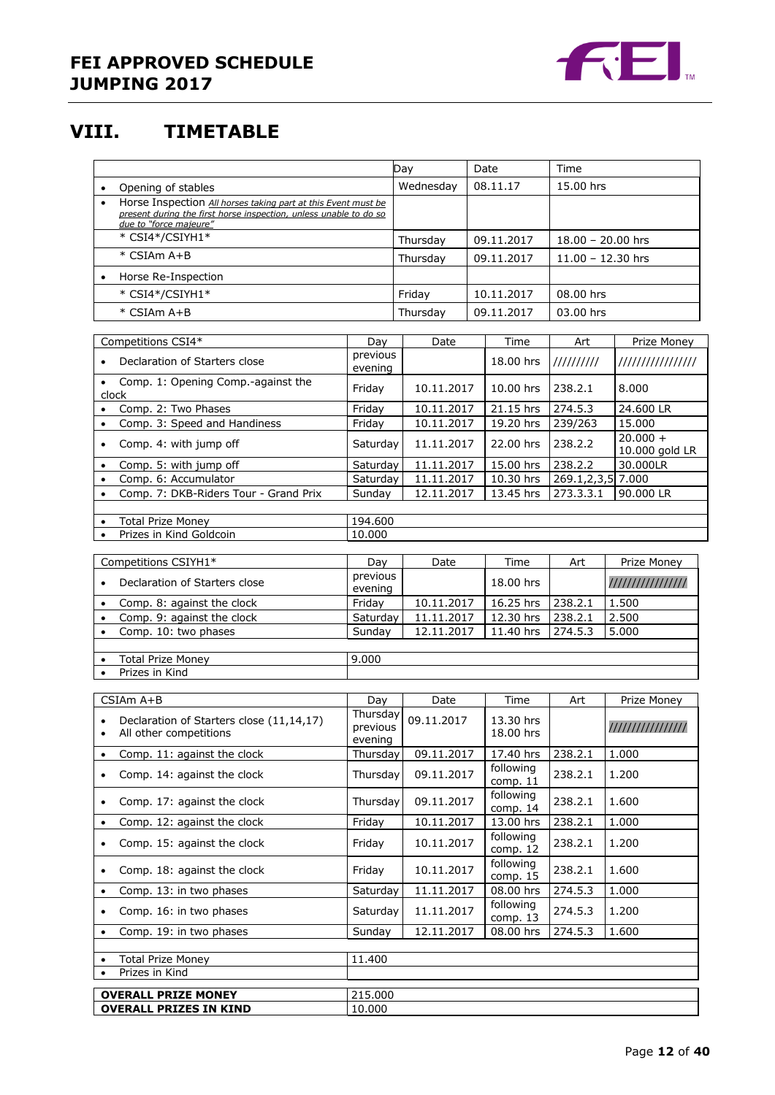

## <span id="page-11-0"></span>**VIII. TIMETABLE**

|                                                                                                                                                                           |                                 | Day<br>Date<br>Time      |                        |                    |                              |
|---------------------------------------------------------------------------------------------------------------------------------------------------------------------------|---------------------------------|--------------------------|------------------------|--------------------|------------------------------|
| Opening of stables<br>$\bullet$                                                                                                                                           |                                 | Wednesday                | 08.11.17               | 15.00 hrs          |                              |
| Horse Inspection All horses taking part at this Event must be<br>$\bullet$<br>present during the first horse inspection, unless unable to do so<br>due to "force majeure" |                                 |                          |                        |                    |                              |
| * CSI4*/CSIYH1*                                                                                                                                                           |                                 | Thursday                 | 09.11.2017             |                    | $18.00 - 20.00$ hrs          |
| * CSIAm A+B                                                                                                                                                               |                                 | Thursday                 | 09.11.2017             |                    | $11.00 - 12.30$ hrs          |
| Horse Re-Inspection                                                                                                                                                       |                                 |                          |                        |                    |                              |
| * CSI4*/CSIYH1*                                                                                                                                                           |                                 | Friday                   | 10.11.2017             | 08.00 hrs          |                              |
| * CSIAm A+B                                                                                                                                                               |                                 | Thursday                 | 09.11.2017             | 03.00 hrs          |                              |
|                                                                                                                                                                           |                                 |                          |                        |                    |                              |
| Competitions CSI4*                                                                                                                                                        | Day                             | Date                     | Time                   | Art                | Prize Money                  |
| Declaration of Starters close<br>$\bullet$                                                                                                                                | previous<br>evening             |                          | 18.00 hrs              | 1111111111         | ////////////////             |
| Comp. 1: Opening Comp.-against the<br>$\bullet$<br>clock                                                                                                                  | Friday                          | 10.11.2017               | 10.00 hrs              | 238.2.1            | 8.000                        |
| Comp. 2: Two Phases<br>$\bullet$                                                                                                                                          | Friday                          | 10.11.2017               | 21.15 hrs              | 274.5.3            | 24,600 LR                    |
| Comp. 3: Speed and Handiness<br>$\bullet$                                                                                                                                 | Friday                          | 10.11.2017               | 19.20 hrs              | 239/263            | 15.000                       |
| Comp. 4: with jump off<br>$\bullet$                                                                                                                                       | Saturday                        | 11.11.2017               | 22.00 hrs              | 238.2.2            | $20.000 +$<br>10.000 gold LR |
| Comp. 5: with jump off<br>$\bullet$                                                                                                                                       | Saturday                        | 11.11.2017               | 15.00 hrs              | 238.2.2            | 30.000LR                     |
| Comp. 6: Accumulator<br>$\bullet$                                                                                                                                         | Saturday                        | 11.11.2017               | 10.30 hrs              |                    | $269.1, 2, 3, 5$ 7.000       |
| Comp. 7: DKB-Riders Tour - Grand Prix<br>$\bullet$                                                                                                                        | Sundav                          | 12.11.2017               | 13.45 hrs              | 273.3.3.1          | 90.000 LR                    |
| <b>Total Prize Money</b><br>$\bullet$                                                                                                                                     | 194.600                         |                          |                        |                    |                              |
| Prizes in Kind Goldcoin                                                                                                                                                   | 10.000                          |                          |                        |                    |                              |
|                                                                                                                                                                           |                                 |                          |                        |                    |                              |
| Competitions CSIYH1*                                                                                                                                                      | Day<br>previous                 | Date                     | Time                   | Art                | Prize Money                  |
| Declaration of Starters close                                                                                                                                             | evening                         |                          | 18.00 hrs              |                    | ////////////////             |
| Comp. 8: against the clock<br>$\bullet$                                                                                                                                   | Friday                          | 10.11.2017               | 16.25 hrs              | 238.2.1            | 1.500                        |
| Comp. 9: against the clock<br>$\bullet$                                                                                                                                   | Saturday<br>Sunday              | 11.11.2017<br>12.11.2017 | 12.30 hrs<br>11.40 hrs | 238.2.1<br>274.5.3 | 2.500<br>5.000               |
| Comp. 10: two phases<br>$\bullet$                                                                                                                                         |                                 |                          |                        |                    |                              |
| <b>Total Prize Money</b><br>$\bullet$                                                                                                                                     | 9.000                           |                          |                        |                    |                              |
| Prizes in Kind<br>$\bullet$                                                                                                                                               |                                 |                          |                        |                    |                              |
| CSIAm A+B                                                                                                                                                                 | Day                             | Date                     | Time                   | Art                | Prize Money                  |
| Declaration of Starters close (11,14,17)<br>All other competitions<br>$\bullet$                                                                                           | Thursday<br>previous<br>evening | 09.11.2017               | 13.30 hrs<br>18.00 hrs |                    | ////////////////             |
| Comp. 11: against the clock<br>$\bullet$                                                                                                                                  | Thursday                        | 09.11.2017               | 17.40 hrs              | 238.2.1            | 1.000                        |
| Comp. 14: against the clock<br>$\bullet$                                                                                                                                  | Thursday                        | 09.11.2017               | following<br>comp. 11  | 238.2.1            | 1.200                        |
| Comp. 17: against the clock<br>$\bullet$                                                                                                                                  | Thursday                        | 09.11.2017               | following<br>comp. 14  | 238.2.1            | 1.600                        |
| Comp. 12: against the clock                                                                                                                                               | Friday                          | 10.11.2017               | 13.00 hrs<br>following | 238.2.1            | 1.000                        |
| Comp. 15: against the clock<br>$\bullet$                                                                                                                                  | Friday                          | 10.11.2017               | comp. 12               | 238.2.1            | 1.200                        |
| Comp. 18: against the clock<br>$\bullet$                                                                                                                                  | Friday                          | 10.11.2017               | following<br>comp. 15  | 238.2.1            | 1.600                        |
| Comp. 13: in two phases<br>$\bullet$                                                                                                                                      | Saturday                        | 11.11.2017               | 08.00 hrs              | 274.5.3            | 1.000                        |
| Comp. 16: in two phases<br>$\bullet$                                                                                                                                      | Saturday                        | 11.11.2017               | following<br>comp. 13  | 274.5.3            | 1.200                        |
| Comp. 19: in two phases                                                                                                                                                   | Sunday                          | 12.11.2017               | 08.00 hrs              | 274.5.3            | 1.600                        |
| <b>Total Prize Money</b>                                                                                                                                                  | 11.400                          |                          |                        |                    |                              |
| Prizes in Kind                                                                                                                                                            |                                 |                          |                        |                    |                              |
| <b>OVERALL PRIZE MONEY</b>                                                                                                                                                | 215.000                         |                          |                        |                    |                              |
| <b>OVERALL PRIZES IN KIND</b>                                                                                                                                             | 10.000                          |                          |                        |                    |                              |
|                                                                                                                                                                           |                                 |                          |                        |                    |                              |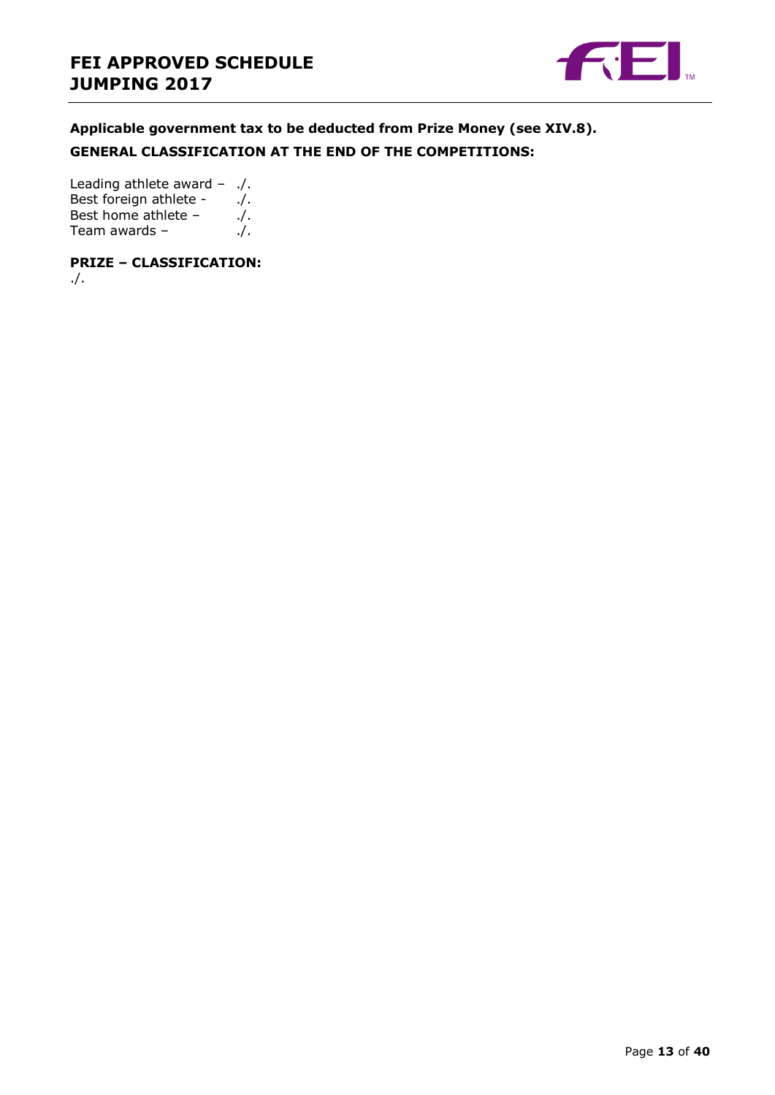

**Applicable government tax to be deducted from Prize Money (see XIV.8). GENERAL CLASSIFICATION AT THE END OF THE COMPETITIONS:**

Leading athlete award – ./. Best foreign athlete - ... Best home athlete  $-$  ./. Team awards – ...

**PRIZE – CLASSIFICATION:** ./.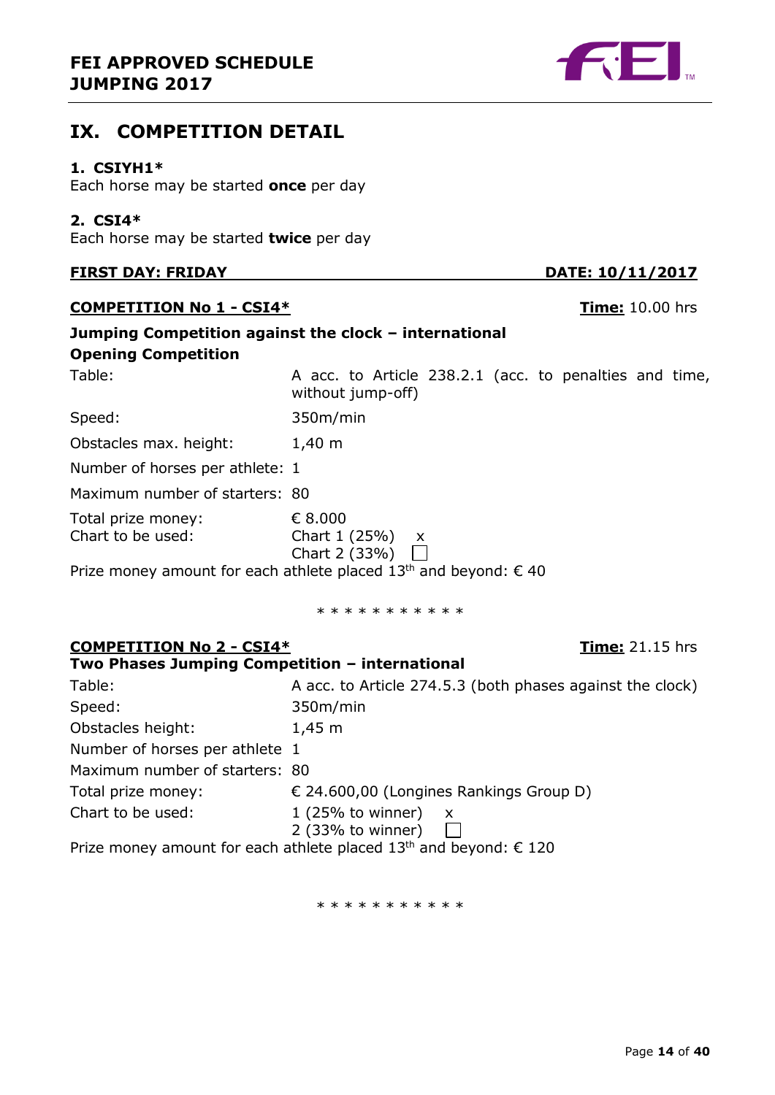## **FEI APPROVED SCHEDULE JUMPING 2017**

## <span id="page-13-0"></span>**IX. COMPETITION DETAIL**

## <span id="page-13-1"></span>**1. CSIYH1\***

Each horse may be started **once** per day

## <span id="page-13-2"></span>**2. CSI4\***

Each horse may be started **twice** per day

## **FIRST DAY: FRIDAY DATE: 10/11/2017**

## **COMPETITION No 1 - CSI4\* Time:** 10.00 hrs

| <b>Opening Competition</b>              | Jumping Competition against the clock – international                       |
|-----------------------------------------|-----------------------------------------------------------------------------|
| Table:                                  | A acc. to Article 238.2.1 (acc. to penalties and time,<br>without jump-off) |
| Speed:                                  | 350m/min                                                                    |
| Obstacles max. height:                  | $1,40 \; m$                                                                 |
| Number of horses per athlete: 1         |                                                                             |
| Maximum number of starters: 80          |                                                                             |
| Total prize money:<br>Chart to be used: | € 8.000<br>Chart $1(25%)$ x<br>Chart 2 (33%) $\Box$                         |

Prize money amount for each athlete placed  $13<sup>th</sup>$  and beyond:  $\epsilon$  40

\* \* \* \* \* \* \* \* \* \*

#### **COMPETITION No 2 - CSI4\* Time:** 21.15 hrs **Two Phases Jumping Competition – international**

| Table:                         | A acc. to Article 274.5.3 (both phases against the clock)                     |
|--------------------------------|-------------------------------------------------------------------------------|
| Speed:                         | 350m/min                                                                      |
| Obstacles height:              | $1,45 \; m$                                                                   |
| Number of horses per athlete 1 |                                                                               |
| Maximum number of starters: 80 |                                                                               |
| Total prize money:             | $\in$ 24.600,00 (Longines Rankings Group D)                                   |
| Chart to be used:              | $1(25\% \text{ to winner})$<br>$\mathsf{X}$                                   |
|                                | 2 (33% to winner)                                                             |
|                                | Prize money amount for each athlete placed 13 <sup>th</sup> and beyond: € 120 |

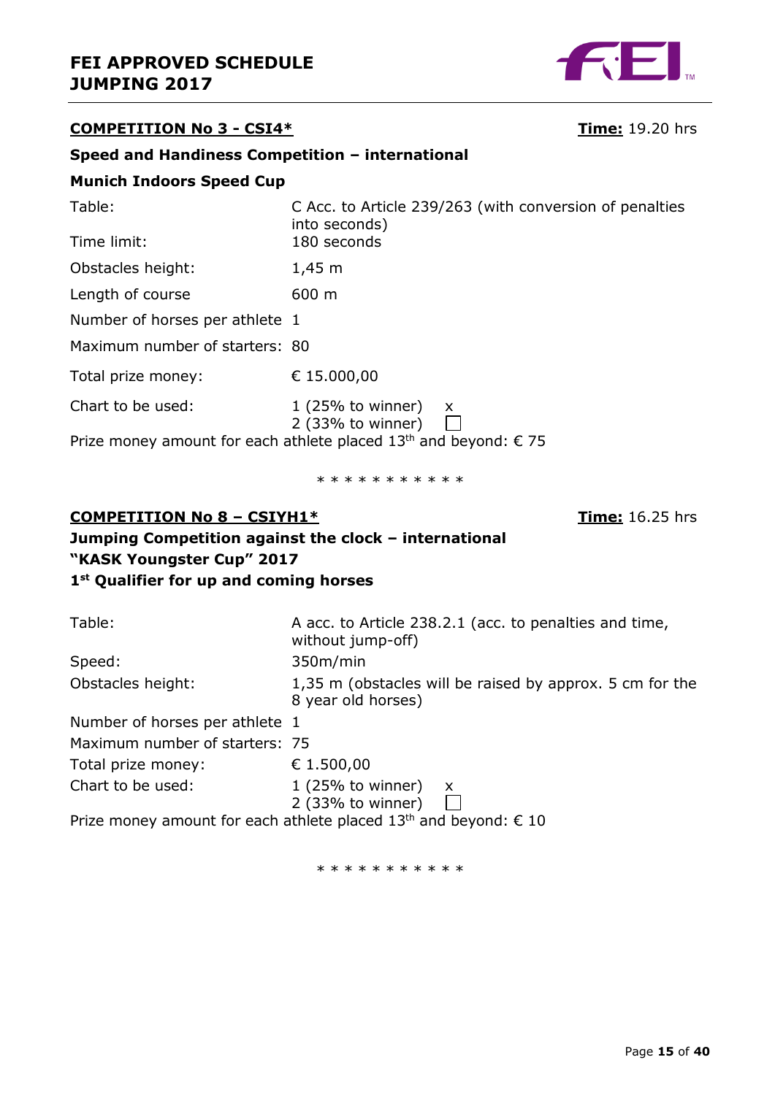

## **COMPETITION No 3 - CSI4\* Time:** 19.20 hrs

### **Speed and Handiness Competition – international**

### **Munich Indoors Speed Cup**

| C Acc. to Article 239/263 (with conversion of penalties<br>into seconds)              |
|---------------------------------------------------------------------------------------|
| 180 seconds                                                                           |
| $1,45 \; m$                                                                           |
| $600 \; \mathrm{m}$                                                                   |
| Number of horses per athlete 1                                                        |
| Maximum number of starters: 80                                                        |
| € 15.000,00                                                                           |
| $1(25%$ to winner)<br>X.<br>2 (33% to winner)                                         |
| Prize money amount for each athlete placed 13 <sup>th</sup> and beyond: $\epsilon$ 75 |
|                                                                                       |

\* \* \* \* \* \* \* \* \* \*

## **COMPETITION No 8 – CSIYH1\* Time:** 16.25 hrs **Jumping Competition against the clock – international "KASK Youngster Cup" 2017 1 st Qualifier for up and coming horses**

| Table:                         | A acc. to Article 238.2.1 (acc. to penalties and time,<br>without jump-off)    |
|--------------------------------|--------------------------------------------------------------------------------|
| Speed:                         | 350m/min                                                                       |
| Obstacles height:              | 1,35 m (obstacles will be raised by approx. 5 cm for the<br>8 year old horses) |
| Number of horses per athlete 1 |                                                                                |
| Maximum number of starters: 75 |                                                                                |
| Total prize money:             | € 1.500,00                                                                     |
| Chart to be used:              | $1(25%$ to winner)<br>$\mathsf{x}$<br>2 (33% to winner)                        |
|                                | Prize money amount for each athlete placed $13th$ and beyond: $\epsilon$ 10    |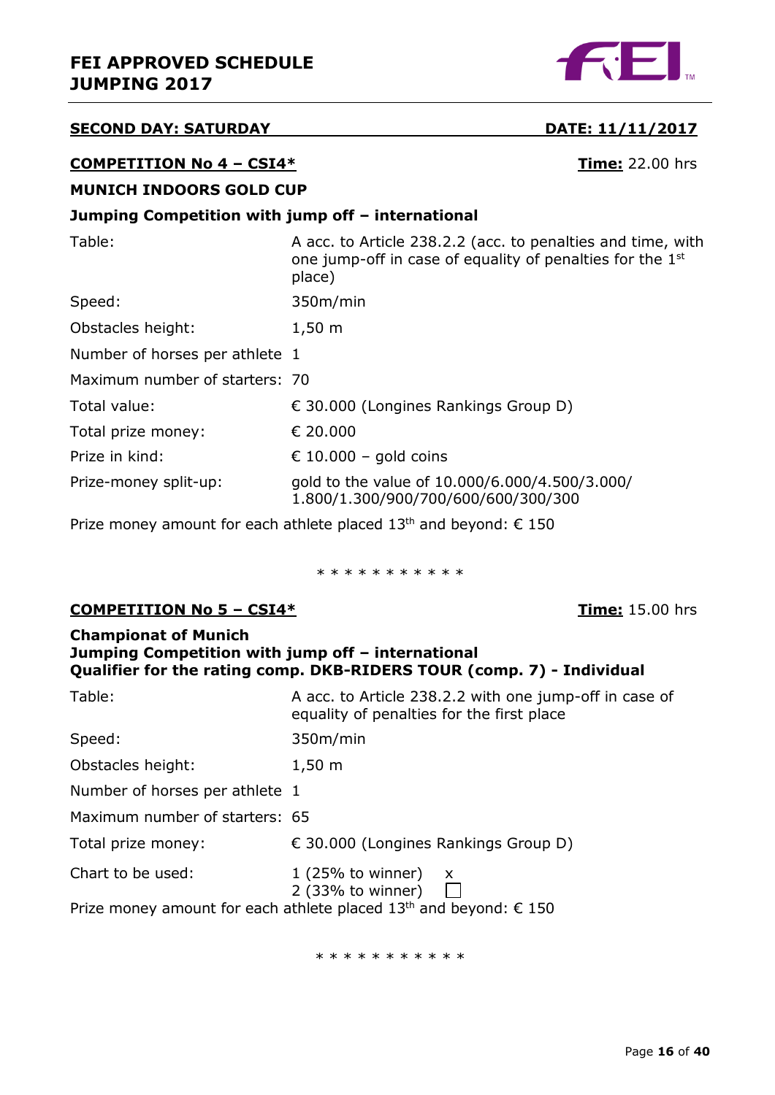

#### **SECOND DAY: SATURDAY DATE: 11/11/2017**

#### **COMPETITION No 4 – CSI4\* Time:** 22.00 hrs

#### **MUNICH INDOORS GOLD CUP**

### **Jumping Competition with jump off – international**

| Table:                         | A acc. to Article 238.2.2 (acc. to penalties and time, with<br>one jump-off in case of equality of penalties for the 1 <sup>st</sup><br>place) |
|--------------------------------|------------------------------------------------------------------------------------------------------------------------------------------------|
| Speed:                         | 350m/min                                                                                                                                       |
| Obstacles height:              | $1,50 \; m$                                                                                                                                    |
| Number of horses per athlete 1 |                                                                                                                                                |
| Maximum number of starters: 70 |                                                                                                                                                |
| Total value:                   | € 30.000 (Longines Rankings Group D)                                                                                                           |
| Total prize money:             | € 20,000                                                                                                                                       |
| Prize in kind:                 | € 10.000 – gold coins                                                                                                                          |
| Prize-money split-up:          | gold to the value of 10.000/6.000/4.500/3.000/<br>1.800/1.300/900/700/600/600/300/300                                                          |
|                                |                                                                                                                                                |

Prize money amount for each athlete placed  $13<sup>th</sup>$  and beyond:  $\epsilon$  150

\* \* \* \* \* \* \* \* \* \* \*

#### **COMPETITION No 5 – CSI4\* Time:** 15.00 hrs

#### **Championat of Munich Jumping Competition with jump off – international Qualifier for the rating comp. DKB-RIDERS TOUR (comp. 7) - Individual**

| Table:                                                                        | A acc. to Article 238.2.2 with one jump-off in case of<br>equality of penalties for the first place |  |
|-------------------------------------------------------------------------------|-----------------------------------------------------------------------------------------------------|--|
| Speed:                                                                        | 350m/min                                                                                            |  |
| Obstacles height:                                                             | $1,50 \; m$                                                                                         |  |
| Number of horses per athlete 1                                                |                                                                                                     |  |
| Maximum number of starters: 65                                                |                                                                                                     |  |
| Total prize money:                                                            | $\epsilon$ 30.000 (Longines Rankings Group D)                                                       |  |
| Chart to be used:                                                             | $1(25\% \text{ to winner})$<br>$\mathsf{X}$<br>$2$ (33% to winner)                                  |  |
| Prize money amount for each athlete placed 13 <sup>th</sup> and beyond: € 150 |                                                                                                     |  |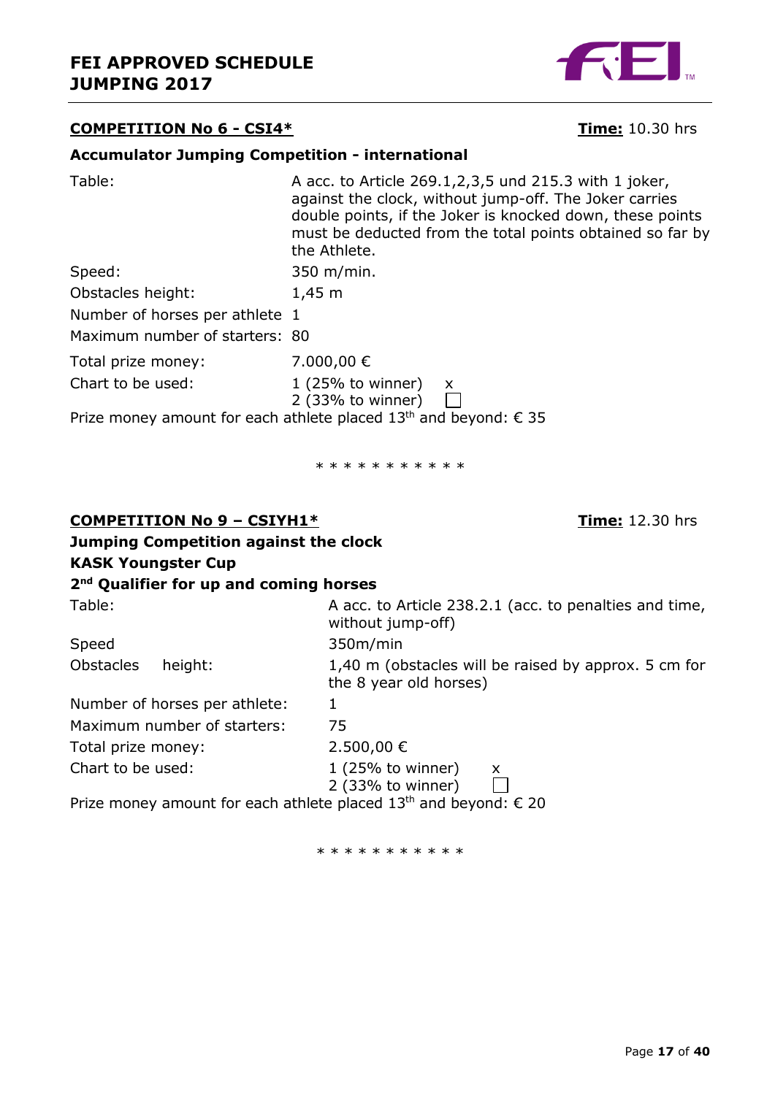#### **COMPETITION No 6 - CSI4\* Time:** 10.30 hrs

#### **Accumulator Jumping Competition - international**

| Table:                         | A acc. to Article 269.1, 2, 3, 5 und 215.3 with 1 joker,<br>against the clock, without jump-off. The Joker carries<br>double points, if the Joker is knocked down, these points<br>must be deducted from the total points obtained so far by<br>the Athlete. |
|--------------------------------|--------------------------------------------------------------------------------------------------------------------------------------------------------------------------------------------------------------------------------------------------------------|
| Speed:                         | 350 m/min.                                                                                                                                                                                                                                                   |
| Obstacles height:              | $1,45 \; m$                                                                                                                                                                                                                                                  |
| Number of horses per athlete 1 |                                                                                                                                                                                                                                                              |
| Maximum number of starters: 80 |                                                                                                                                                                                                                                                              |
| Total prize money:             | 7.000,00 €                                                                                                                                                                                                                                                   |
| Chart to be used:              | $1(25%$ to winner)<br>$\mathsf{x}$<br>2 (33% to winner) $\Box$                                                                                                                                                                                               |
|                                | Prize money amount for each athlete placed 13 <sup>th</sup> and beyond: $\epsilon$ 35                                                                                                                                                                        |
|                                | * * * * * * * * * * *                                                                                                                                                                                                                                        |

#### **COMPETITION No 9 – CSIYH1\* Time:** 12.30 hrs

| Jumping Competition against the clock              |                                                                             |
|----------------------------------------------------|-----------------------------------------------------------------------------|
| <b>KASK Youngster Cup</b>                          |                                                                             |
| 2 <sup>nd</sup> Qualifier for up and coming horses |                                                                             |
| Table:                                             | A acc. to Article 238.2.1 (acc. to penalties and time,<br>without jump-off) |
| Speed                                              | 350m/min                                                                    |

Obstacles height: 1,40 m (obstacles will be raised by approx. 5 cm for

Number of horses per athlete: 1

Maximum number of starters: 75 Total prize money: 2.500,00 €

the 8 year old horses)

Chart to be used:  $1 (25\% \text{ to winner}) x$ 

2 (33% to winner)

Prize money amount for each athlete placed  $13^{th}$  and beyond:  $\epsilon$  20

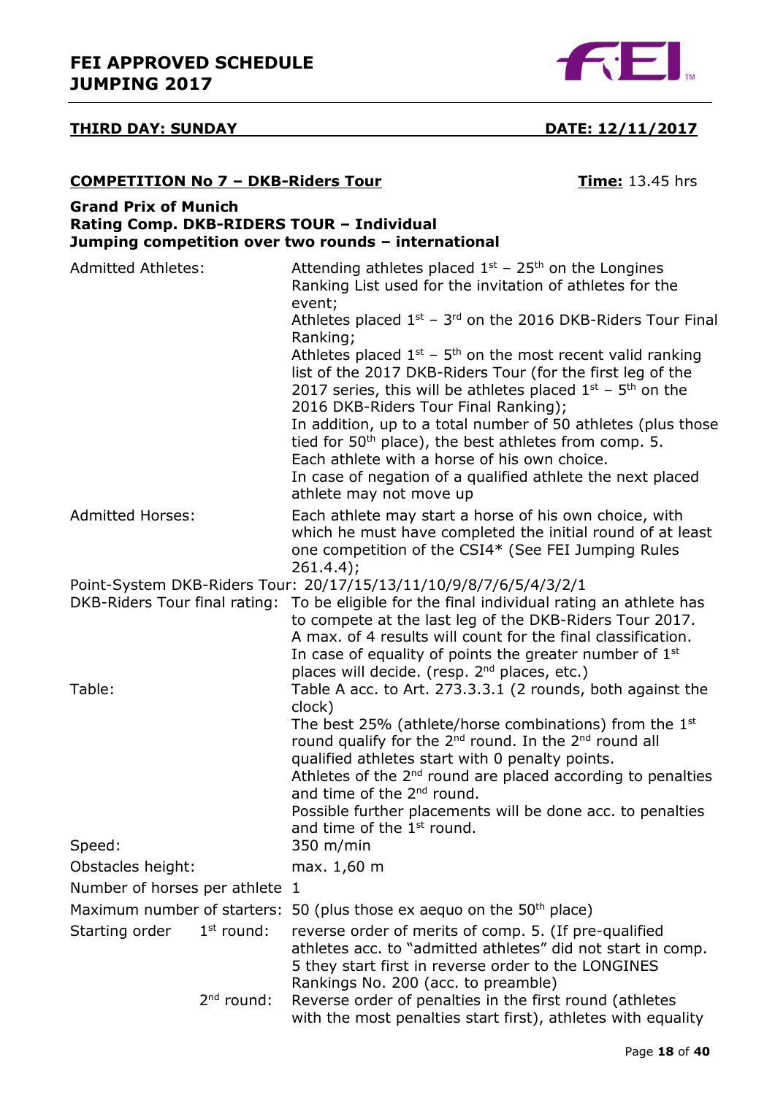

## **THIRD DAY: SUNDAY DATE: 12/11/2017**

#### **Grand Prix of Munich Rating Comp. DKB-RIDERS TOUR – Individual Jumping competition over two rounds – international** Admitted Athletes:  $\blacksquare$  Attending athletes placed  $1^{st}$  – 25<sup>th</sup> on the Longines Ranking List used for the invitation of athletes for the event; Athletes placed  $1^{st}$  – 3<sup>rd</sup> on the 2016 DKB-Riders Tour Final Ranking; Athletes placed  $1^{st}$  –  $5^{th}$  on the most recent valid ranking list of the 2017 DKB-Riders Tour (for the first leg of the 2017 series, this will be athletes placed  $1<sup>st</sup>$  – 5<sup>th</sup> on the 2016 DKB-Riders Tour Final Ranking); In addition, up to a total number of 50 athletes (plus those tied for  $50<sup>th</sup>$  place), the best athletes from comp. 5. Each athlete with a horse of his own choice. In case of negation of a qualified athlete the next placed athlete may not move up Admitted Horses: Each athlete may start a horse of his own choice, with which he must have completed the initial round of at least one competition of the CSI4\* (See FEI Jumping Rules 261.4.4); Point-System DKB-Riders Tour: 20/17/15/13/11/10/9/8/7/6/5/4/3/2/1 DKB-Riders Tour final rating: To be eligible for the final individual rating an athlete has to compete at the last leg of the DKB-Riders Tour 2017. A max. of 4 results will count for the final classification. In case of equality of points the greater number of  $1<sup>st</sup>$ places will decide. (resp. 2<sup>nd</sup> places, etc.) Table: Table A acc. to Art. 273.3.3.1 (2 rounds, both against the clock) The best 25% (athlete/horse combinations) from the 1<sup>st</sup> round qualify for the 2<sup>nd</sup> round. In the 2<sup>nd</sup> round all qualified athletes start with 0 penalty points. Athletes of the  $2<sup>nd</sup>$  round are placed according to penalties and time of the 2<sup>nd</sup> round. Possible further placements will be done acc. to penalties and time of the 1<sup>st</sup> round. Speed: 350 m/min Obstacles height: max. 1,60 m Number of horses per athlete 1 Maximum number of starters: 50 (plus those ex aequo on the  $50<sup>th</sup>$  place) Starting order  $1<sup>st</sup>$  round: reverse order of merits of comp. 5. (If pre-qualified athletes acc. to "admitted athletes" did not start in comp.

**COMPETITION No 7 – DKB-Riders Tour Time:** 13.45 hrs

 $2<sup>nd</sup>$  round:

Reverse order of penalties in the first round (athletes with the most penalties start first), athletes with equality

Rankings No. 200 (acc. to preamble)

5 they start first in reverse order to the LONGINES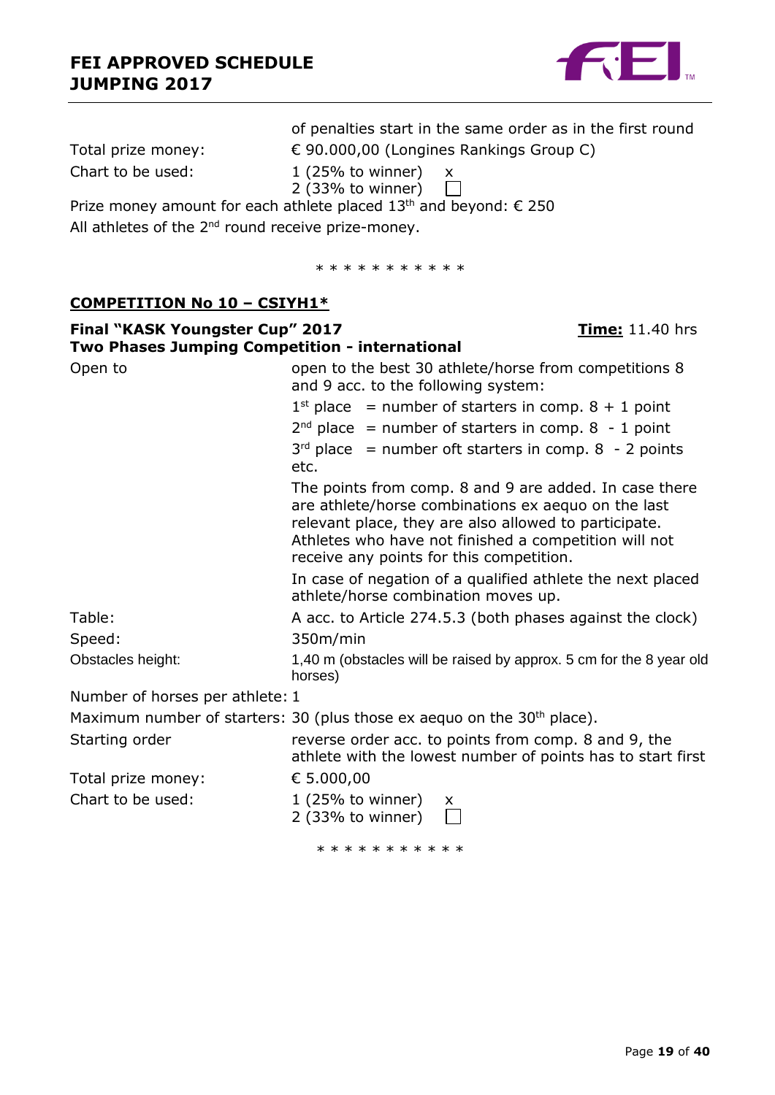

|                                                                | of penalties start in the same order as in the first round                                                                                                                                                                                                                  |                        |
|----------------------------------------------------------------|-----------------------------------------------------------------------------------------------------------------------------------------------------------------------------------------------------------------------------------------------------------------------------|------------------------|
| Total prize money:                                             | € 90.000,00 (Longines Rankings Group C)                                                                                                                                                                                                                                     |                        |
| Chart to be used:                                              | $1$ (25% to winner)<br>X                                                                                                                                                                                                                                                    |                        |
|                                                                | 2 (33% to winner)                                                                                                                                                                                                                                                           |                        |
|                                                                | Prize money amount for each athlete placed 13 <sup>th</sup> and beyond: $\epsilon$ 250                                                                                                                                                                                      |                        |
| All athletes of the 2 <sup>nd</sup> round receive prize-money. |                                                                                                                                                                                                                                                                             |                        |
|                                                                | * * * * * * * * * * *                                                                                                                                                                                                                                                       |                        |
| <u> COMPETITION No 10 – CSIYH1*</u>                            |                                                                                                                                                                                                                                                                             |                        |
| Final "KASK Youngster Cup" 2017                                |                                                                                                                                                                                                                                                                             | <b>Time:</b> 11.40 hrs |
| Two Phases Jumping Competition - international                 |                                                                                                                                                                                                                                                                             |                        |
| Open to                                                        | open to the best 30 athlete/horse from competitions 8<br>and 9 acc. to the following system:                                                                                                                                                                                |                        |
|                                                                | $1^{st}$ place = number of starters in comp. $8 + 1$ point                                                                                                                                                                                                                  |                        |
|                                                                | $2nd$ place = number of starters in comp. 8 - 1 point                                                                                                                                                                                                                       |                        |
|                                                                | $3rd$ place = number oft starters in comp. 8 - 2 points<br>etc.                                                                                                                                                                                                             |                        |
|                                                                | The points from comp. 8 and 9 are added. In case there<br>are athlete/horse combinations ex aequo on the last<br>relevant place, they are also allowed to participate.<br>Athletes who have not finished a competition will not<br>receive any points for this competition. |                        |
|                                                                | In case of negation of a qualified athlete the next placed<br>athlete/horse combination moves up.                                                                                                                                                                           |                        |
| Table:                                                         | A acc. to Article 274.5.3 (both phases against the clock)                                                                                                                                                                                                                   |                        |
| Speed:                                                         | 350m/min                                                                                                                                                                                                                                                                    |                        |
| Obstacles height:                                              | 1,40 m (obstacles will be raised by approx. 5 cm for the 8 year old<br>horses)                                                                                                                                                                                              |                        |
| Number of horses per athlete: 1                                |                                                                                                                                                                                                                                                                             |                        |
|                                                                | Maximum number of starters: 30 (plus those ex aequo on the 30 <sup>th</sup> place).                                                                                                                                                                                         |                        |
| Starting order                                                 | reverse order acc. to points from comp. 8 and 9, the<br>athlete with the lowest number of points has to start first                                                                                                                                                         |                        |
| Total prize money:                                             | € 5.000,00                                                                                                                                                                                                                                                                  |                        |
| Chart to be used:                                              | $1$ (25% to winner)<br>x.<br>$2$ (33% to winner)                                                                                                                                                                                                                            |                        |
|                                                                |                                                                                                                                                                                                                                                                             |                        |

\* \* \* \* \* \* \* \* \* \*

Page **19** of **40**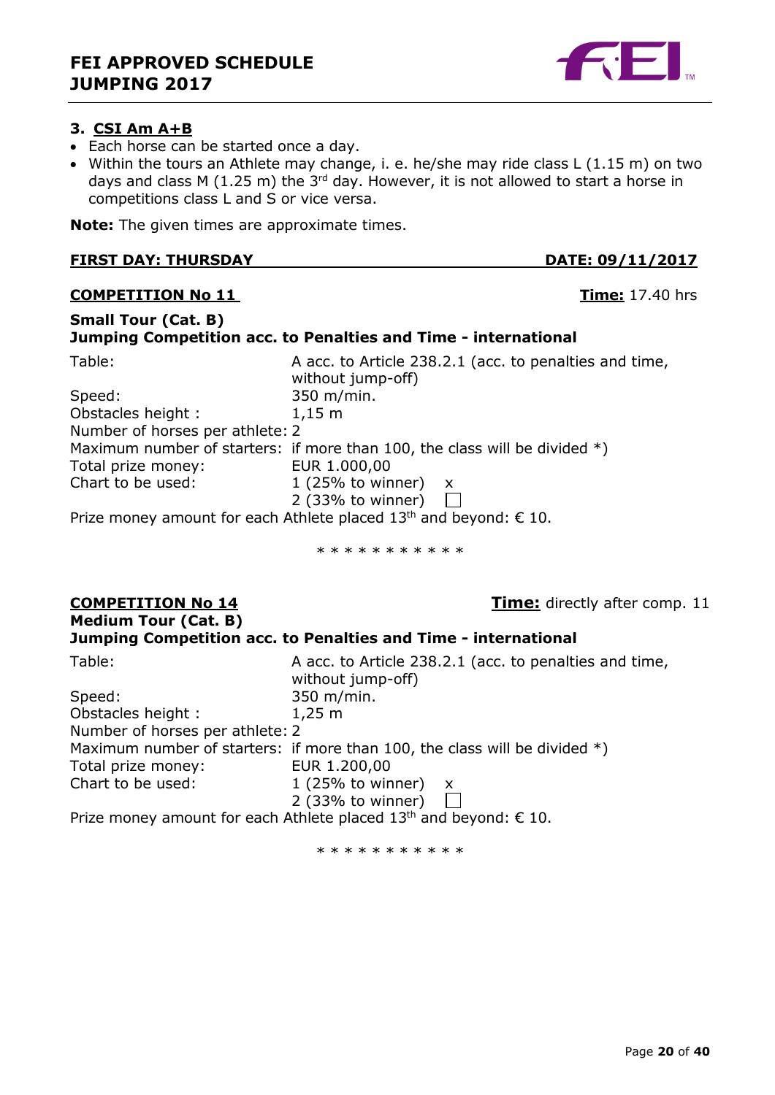<span id="page-19-0"></span>

- Each horse can be started once a day.
- Within the tours an Athlete may change, i. e. he/she may ride class L (1.15 m) on two days and class M (1.25 m) the  $3<sup>rd</sup>$  day. However, it is not allowed to start a horse in competitions class L and S or vice versa.

**Note:** The given times are approximate times.

#### **FIRST DAY: THURSDAY DATE: 09/11/2017**

#### **COMPETITION No 11 Time:** 17.40 hrs

#### **Small Tour (Cat. B) Jumping Competition acc. to Penalties and Time - international** Table: Table: A acc. to Article 238.2.1 (acc. to penalties and time, without jump-off) Speed: 350 m/min. Obstacles height : 1,15 m Number of horses per athlete: 2 Maximum number of starters: if more than 100, the class will be divided  $*)$ Total prize money: EUR 1.000,00 Chart to be used:  $1 (25\% \text{ to winner}) x$ 2 (33% to winner)  $\mathbf{1}$ Prize money amount for each Athlete placed  $13<sup>th</sup>$  and beyond:  $\epsilon$  10.

\* \* \* \* \* \* \* \* \* \*

# **Medium Tour (Cat. B)**

**COMPETITION No 14 COMPETITION No 14 Time:** directly after comp. 11

#### **Jumping Competition acc. to Penalties and Time - international**

| Table:                          | A acc. to Article 238.2.1 (acc. to penalties and time,<br>without jump-off)  |
|---------------------------------|------------------------------------------------------------------------------|
| Speed:                          | 350 m/min.                                                                   |
| Obstacles height:               | $1,25 \; m$                                                                  |
| Number of horses per athlete: 2 |                                                                              |
|                                 | Maximum number of starters: if more than 100, the class will be divided $*)$ |
| Total prize money:              | EUR 1.200,00                                                                 |
| Chart to be used:               | 1 (25% to winner) $x$                                                        |
|                                 | $2(33%$ to winner)                                                           |
|                                 | Prize money amount for each Athlete placed $13th$ and beyond: $\epsilon$ 10. |



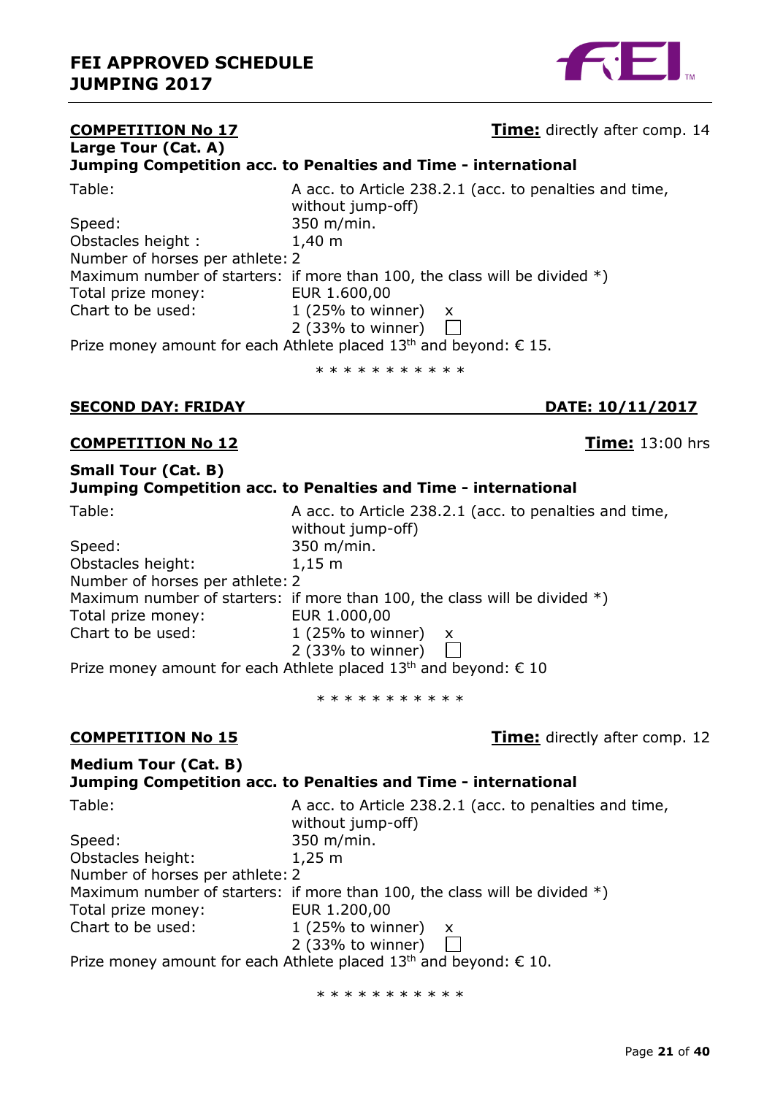

#### **COMPETITION No 17 COMPETITION No 17 Time:** directly after comp. 14 **Large Tour (Cat. A) Jumping Competition acc. to Penalties and Time - international** Table: Table: A acc. to Article 238.2.1 (acc. to penalties and time, without jump-off) Speed: 350 m/min. Obstacles height : 1,40 m Number of horses per athlete: 2 Maximum number of starters: if more than 100, the class will be divided  $*)$ Total prize money: EUR 1.600,00 Chart to be used:  $1 (25\% \text{ to winner}) x$ 2 (33% to winner)  $\Box$ Prize money amount for each Athlete placed  $13<sup>th</sup>$  and beyond:  $\epsilon$  15. \* \* \* \* \* \* \* \* \* \*

#### **SECOND DAY: FRIDAY DATE: 10/11/2017**

#### **COMPETITION No 12 Time:** 13:00 hrs

#### **Small Tour (Cat. B)**

#### **Jumping Competition acc. to Penalties and Time - international**

| Table:                          | A acc. to Article 238.2.1 (acc. to penalties and time,                       |
|---------------------------------|------------------------------------------------------------------------------|
|                                 | without jump-off)                                                            |
| Speed:                          | 350 m/min.                                                                   |
| Obstacles height:               | $1,15 \; m$                                                                  |
| Number of horses per athlete: 2 |                                                                              |
|                                 | Maximum number of starters: if more than 100, the class will be divided $*)$ |
| Total prize money:              | EUR 1.000,00                                                                 |
| Chart to be used:               | 1 (25% to winner) $x$                                                        |
|                                 | 2 (33% to winner)                                                            |
|                                 | Prize money amount for each Athlete placed $13th$ and beyond: € 10           |

\* \* \* \* \* \* \* \* \* \*

**COMPETITION No 15 COMPETITION No 15 Time:** directly after comp. 12

#### **Medium Tour (Cat. B) Jumping Competition acc. to Penalties and Time - international**

| Table:                          | A acc. to Article 238.2.1 (acc. to penalties and time,<br>without jump-off)  |
|---------------------------------|------------------------------------------------------------------------------|
| Speed:                          | 350 m/min.                                                                   |
| Obstacles height:               | $1,25 \; m$                                                                  |
| Number of horses per athlete: 2 |                                                                              |
|                                 | Maximum number of starters: if more than 100, the class will be divided $*)$ |
| Total prize money:              | EUR 1.200,00                                                                 |
| Chart to be used:               | 1 (25% to winner) $x$                                                        |
|                                 | $2$ (33% to winner)                                                          |

Prize money amount for each Athlete placed  $13<sup>th</sup>$  and beyond:  $\epsilon$  10.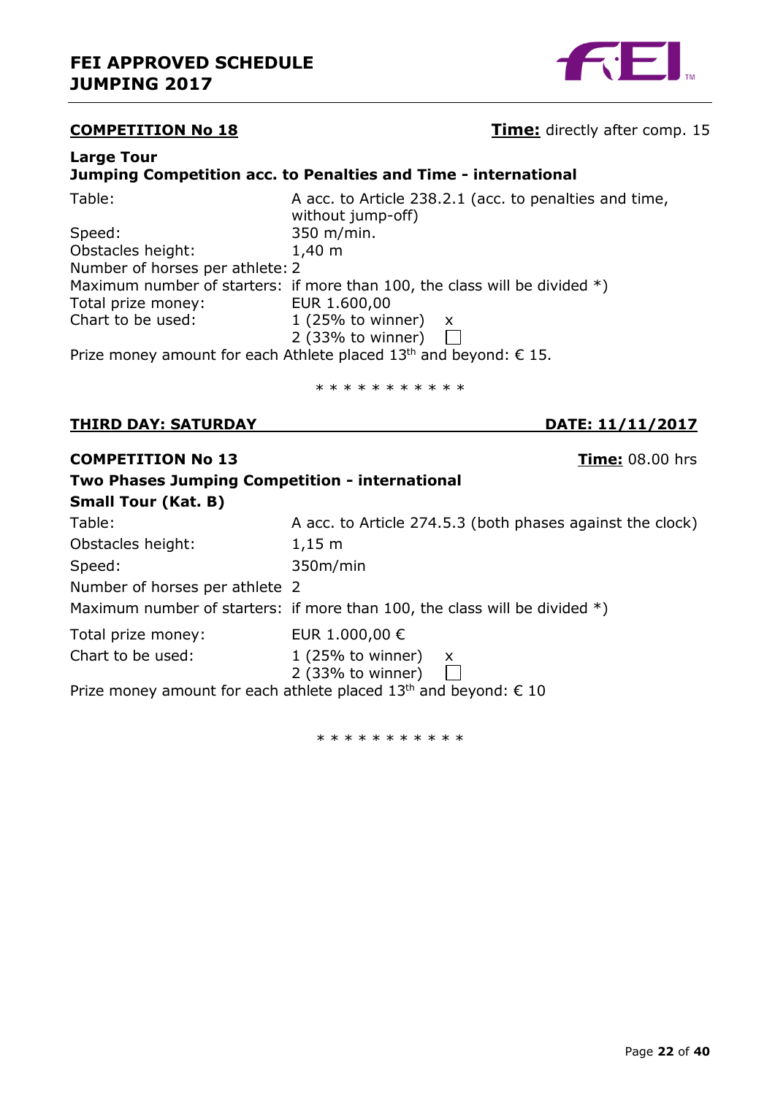

## **COMPETITION No 18 COMPETITION No 18 Time:** directly after comp. 15

#### **Large Tour Jumping Competition acc. to Penalties and Time - international**

| A acc. to Article 238.2.1 (acc. to penalties and time,                        |
|-------------------------------------------------------------------------------|
| without jump-off)                                                             |
| 350 m/min.                                                                    |
| $1,40 \; \mathrm{m}$                                                          |
| Number of horses per athlete: 2                                               |
| Maximum number of starters: if more than 100, the class will be divided $*)$  |
| EUR 1.600,00                                                                  |
| 1 (25% to winner) $x$                                                         |
| 2 (33% to winner)                                                             |
| Prize money amount for each Athlete placed 13 <sup>th</sup> and beyond: € 15. |
|                                                                               |

\* \* \* \* \* \* \* \* \* \* \*

#### **THIRD DAY: SATURDAY DATE: 11/11/2017**

#### **COMPETITION No 13 Time:** 08.00 hrs

| Two Phases Jumping Competition - international |                                                                                       |
|------------------------------------------------|---------------------------------------------------------------------------------------|
| <b>Small Tour (Kat. B)</b>                     |                                                                                       |
| Table:                                         | A acc. to Article 274.5.3 (both phases against the clock)                             |
| Obstacles height:                              | $1,15 \; m$                                                                           |
| Speed:                                         | 350m/min                                                                              |
| Number of horses per athlete 2                 |                                                                                       |
|                                                | Maximum number of starters: if more than 100, the class will be divided $*)$          |
| Total prize money:                             | EUR 1.000,00 €                                                                        |
| Chart to be used:                              | $1(25\% \text{ to winner})$<br>$\mathsf{X}$                                           |
|                                                | 2 (33% to winner)                                                                     |
|                                                | Prize money amount for each athlete placed 13 <sup>th</sup> and beyond: $\epsilon$ 10 |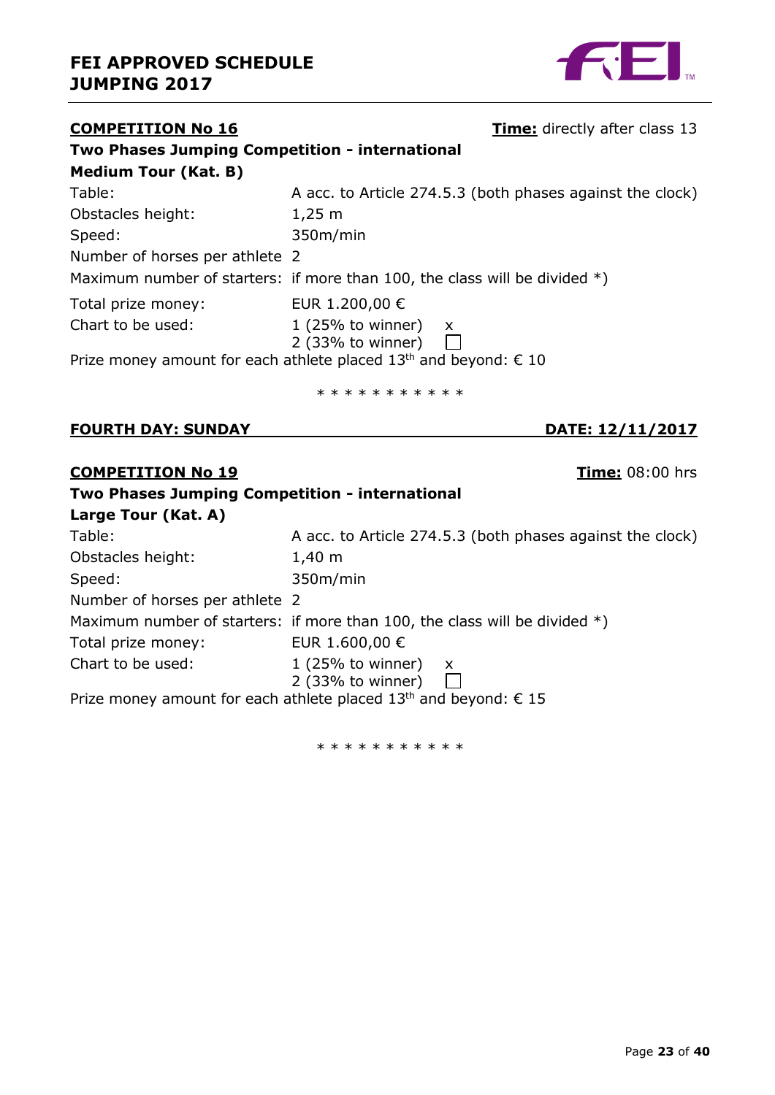

## **COMPETITION No 16 Time:** directly after class 13 **Two Phases Jumping Competition - international Medium Tour (Kat. B)** Table: A acc. to Article 274.5.3 (both phases against the clock) Obstacles height: 1,25 m Speed: 350m/min Number of horses per athlete 2 Maximum number of starters: if more than 100, the class will be divided  $*)$ Total prize money: EUR 1.200,00 € Chart to be used:  $1 (25\% \text{ to winner}) \times 2 (33\% \text{ to winner})$ 2 (33% to winner) Prize money amount for each athlete placed  $13<sup>th</sup>$  and beyond:  $\epsilon$  10

\* \* \* \* \* \* \* \* \* \*

#### **FOURTH DAY: SUNDAY DATE: 12/11/2017**

#### **COMPETITION No 19 Time:** 08:00 hrs

| Two Phases Jumping Competition - international |                                                                              |  |
|------------------------------------------------|------------------------------------------------------------------------------|--|
| Large Tour (Kat. A)                            |                                                                              |  |
| Table:                                         | A acc. to Article 274.5.3 (both phases against the clock)                    |  |
| Obstacles height:                              | $1,40 \; m$                                                                  |  |
| Speed:                                         | 350m/min                                                                     |  |
| Number of horses per athlete 2                 |                                                                              |  |
|                                                | Maximum number of starters: if more than 100, the class will be divided $*)$ |  |
| Total prize money:                             | EUR 1.600,00 €                                                               |  |
| Chart to be used:                              | 1 (25% to winner) $x$<br>$2$ (33% to winner)                                 |  |
|                                                | Prize money amount for each athlete placed $13th$ and beyond: $\epsilon$ 15  |  |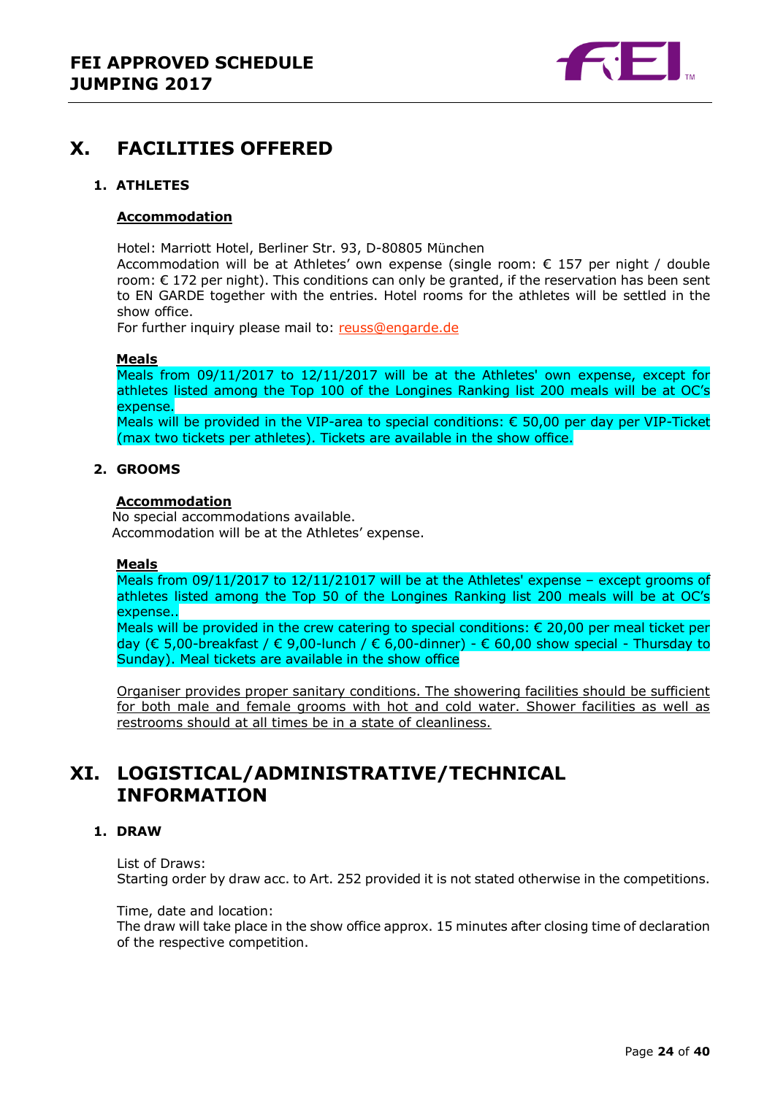

## <span id="page-23-0"></span>**X. FACILITIES OFFERED**

#### <span id="page-23-1"></span>**1. ATHLETES**

#### **Accommodation**

Hotel: Marriott Hotel, Berliner Str. 93, D-80805 München

Accommodation will be at Athletes' own expense (single room: € 157 per night / double room: € 172 per night). This conditions can only be granted, if the reservation has been sent to EN GARDE together with the entries. Hotel rooms for the athletes will be settled in the show office.

For further inquiry please mail to: [reuss@engarde.de](mailto:reuss@engarde.de)

#### **Meals**

Meals from 09/11/2017 to 12/11/2017 will be at the Athletes' own expense, except for athletes listed among the Top 100 of the Longines Ranking list 200 meals will be at OC's expense.

Meals will be provided in the VIP-area to special conditions: € 50,00 per day per VIP-Ticket (max two tickets per athletes). Tickets are available in the show office.

#### <span id="page-23-2"></span>**2. GROOMS**

#### **Accommodation**

No special accommodations available. Accommodation will be at the Athletes' expense.

#### **Meals**

Meals from 09/11/2017 to 12/11/21017 will be at the Athletes' expense – except grooms of athletes listed among the Top 50 of the Longines Ranking list 200 meals will be at OC's expense..

Meals will be provided in the crew catering to special conditions:  $\epsilon$  20,00 per meal ticket per day (€ 5,00-breakfast / € 9,00-lunch / € 6,00-dinner) - € 60,00 show special - Thursday to Sunday). Meal tickets are available in the show office

Organiser provides proper sanitary conditions. The showering facilities should be sufficient for both male and female grooms with hot and cold water. Shower facilities as well as restrooms should at all times be in a state of cleanliness.

## <span id="page-23-3"></span>**XI. LOGISTICAL/ADMINISTRATIVE/TECHNICAL INFORMATION**

#### <span id="page-23-4"></span>**1. DRAW**

List of Draws: Starting order by draw acc. to Art. 252 provided it is not stated otherwise in the competitions.

Time, date and location:

The draw will take place in the show office approx. 15 minutes after closing time of declaration of the respective competition.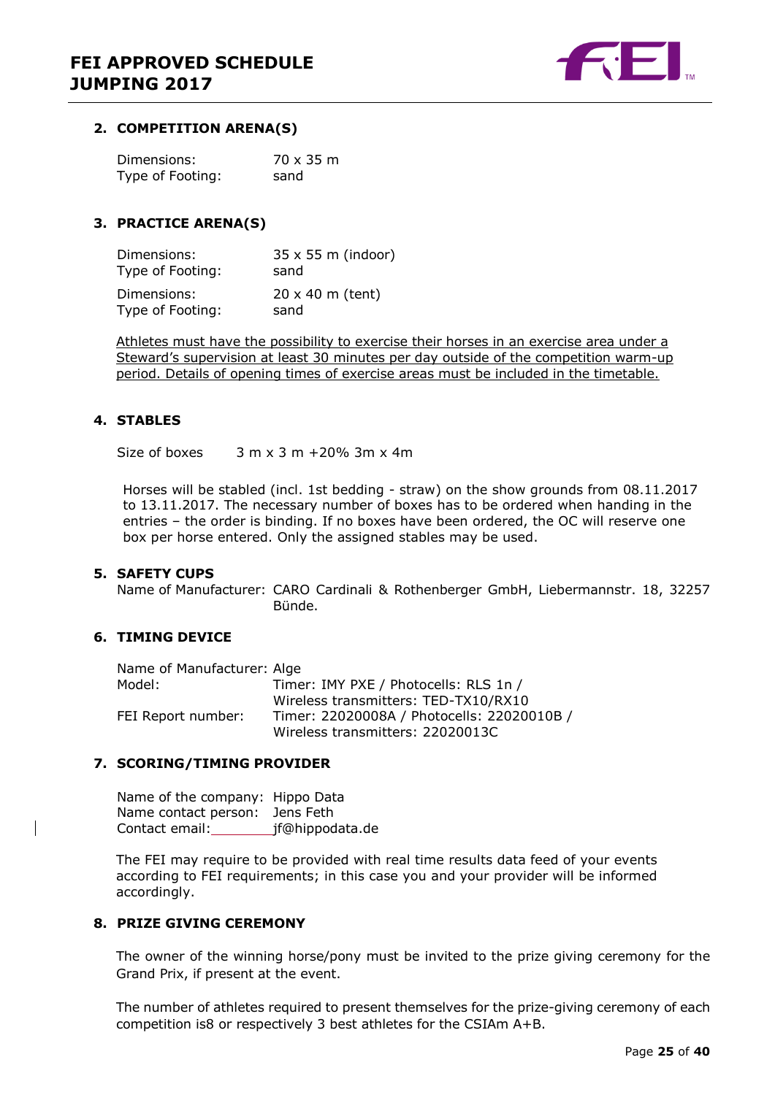

#### <span id="page-24-0"></span>**2. COMPETITION ARENA(S)**

| Dimensions:      | 70 x 35 m |
|------------------|-----------|
| Type of Footing: | sand      |

#### <span id="page-24-1"></span>**3. PRACTICE ARENA(S)**

| Dimensions:      | $35 \times 55$ m (indoor) |
|------------------|---------------------------|
| Type of Footing: | sand                      |
| Dimensions:      | $20 \times 40$ m (tent)   |
| Type of Footing: | sand                      |

Athletes must have the possibility to exercise their horses in an exercise area under a Steward's supervision at least 30 minutes per day outside of the competition warm-up period. Details of opening times of exercise areas must be included in the timetable.

#### <span id="page-24-2"></span>**4. STABLES**

Size of boxes  $3 \text{ m} \times 3 \text{ m} + 20\%$  3m  $\times$  4m

Horses will be stabled (incl. 1st bedding - straw) on the show grounds from 08.11.2017 to 13.11.2017. The necessary number of boxes has to be ordered when handing in the entries – the order is binding. If no boxes have been ordered, the OC will reserve one box per horse entered. Only the assigned stables may be used.

#### <span id="page-24-3"></span>**5. SAFETY CUPS**

Name of Manufacturer: CARO Cardinali & Rothenberger GmbH, Liebermannstr. 18, 32257 Bünde.

#### <span id="page-24-4"></span>**6. TIMING DEVICE**

| Name of Manufacturer: Alge |                                            |
|----------------------------|--------------------------------------------|
| Model:                     | Timer: IMY PXE / Photocells: RLS 1n /      |
|                            | Wireless transmitters: TED-TX10/RX10       |
| FEI Report number:         | Timer: 22020008A / Photocells: 22020010B / |
|                            | Wireless transmitters: 22020013C           |

#### <span id="page-24-5"></span>**7. SCORING/TIMING PROVIDER**

| Name of the company: Hippo Data |                  |
|---------------------------------|------------------|
| Name contact person: Jens Feth  |                  |
| Contact email:                  | _jf@hippodata.de |

The FEI may require to be provided with real time results data feed of your events according to FEI requirements; in this case you and your provider will be informed accordingly.

#### <span id="page-24-6"></span>**8. PRIZE GIVING CEREMONY**

The owner of the winning horse/pony must be invited to the prize giving ceremony for the Grand Prix, if present at the event.

The number of athletes required to present themselves for the prize-giving ceremony of each competition is8 or respectively 3 best athletes for the CSIAm A+B.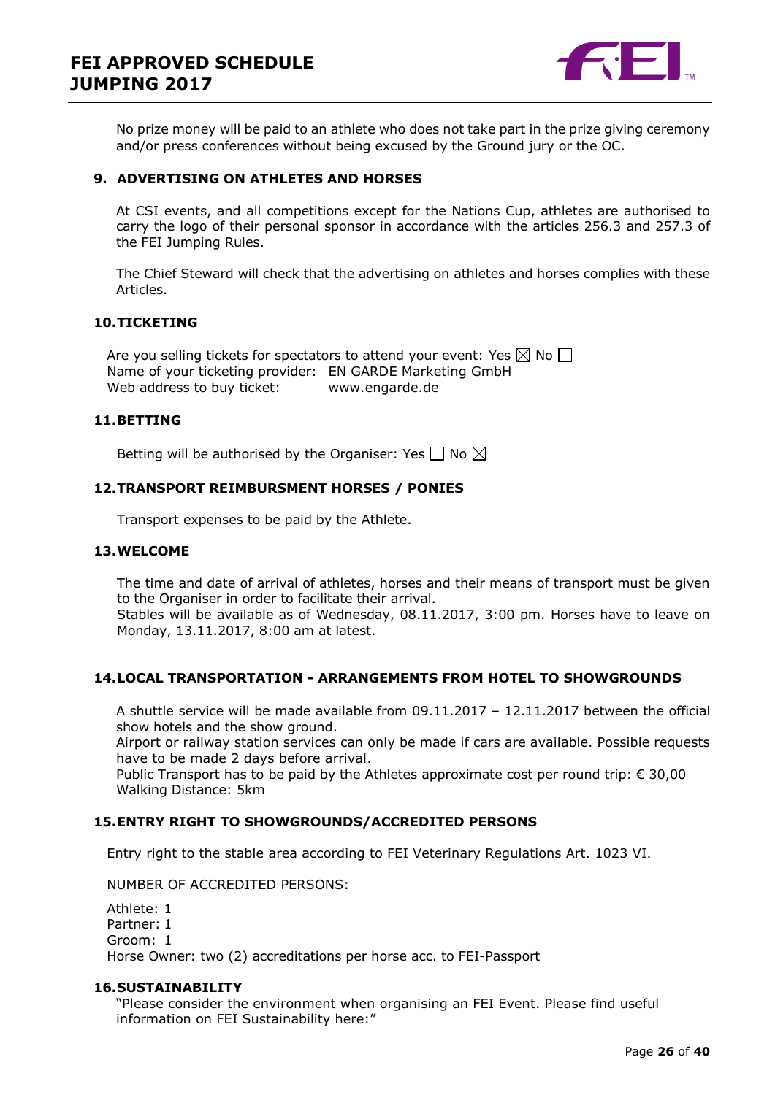

No prize money will be paid to an athlete who does not take part in the prize giving ceremony and/or press conferences without being excused by the Ground jury or the OC.

#### <span id="page-25-0"></span>**9. ADVERTISING ON ATHLETES AND HORSES**

At CSI events, and all competitions except for the Nations Cup, athletes are authorised to carry the logo of their personal sponsor in accordance with the articles 256.3 and 257.3 of the FEI Jumping Rules.

The Chief Steward will check that the advertising on athletes and horses complies with these Articles.

#### <span id="page-25-1"></span>**10.TICKETING**

Are you selling tickets for spectators to attend your event: Yes  $\boxtimes$  No  $\Box$ Name of your ticketing provider: EN GARDE Marketing GmbH Web address to buy ticket: www.engarde.de

#### <span id="page-25-2"></span>**11.BETTING**

Betting will be authorised by the Organiser: Yes  $\Box$  No  $\boxtimes$ 

#### <span id="page-25-3"></span>**12.TRANSPORT REIMBURSMENT HORSES / PONIES**

Transport expenses to be paid by the Athlete.

#### <span id="page-25-4"></span>**13.WELCOME**

The time and date of arrival of athletes, horses and their means of transport must be given to the Organiser in order to facilitate their arrival. Stables will be available as of Wednesday, 08.11.2017, 3:00 pm. Horses have to leave on Monday, 13.11.2017, 8:00 am at latest.

#### <span id="page-25-5"></span>**14.LOCAL TRANSPORTATION - ARRANGEMENTS FROM HOTEL TO SHOWGROUNDS**

A shuttle service will be made available from 09.11.2017 – 12.11.2017 between the official show hotels and the show ground.

Airport or railway station services can only be made if cars are available. Possible requests have to be made 2 days before arrival.

Public Transport has to be paid by the Athletes approximate cost per round trip:  $\epsilon$  30,00 Walking Distance: 5km

#### <span id="page-25-6"></span>**15.ENTRY RIGHT TO SHOWGROUNDS/ACCREDITED PERSONS**

Entry right to the stable area according to FEI Veterinary Regulations Art. 1023 VI.

NUMBER OF ACCREDITED PERSONS:

Athlete: 1 Partner: 1 Groom: 1 Horse Owner: two (2) accreditations per horse acc. to FEI-Passport

#### <span id="page-25-7"></span>**16.SUSTAINABILITY**

"Please consider the environment when organising an FEI Event. Please find useful information on FEI Sustainability here:"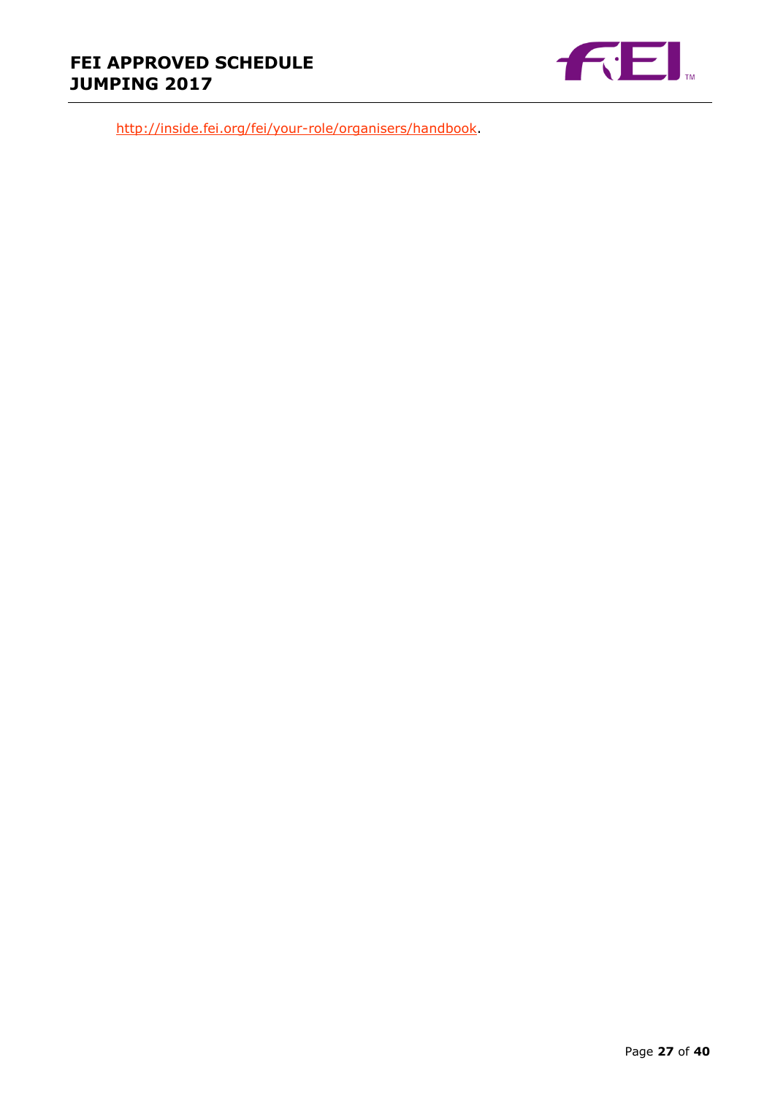

[http://inside.fei.org/fei/your-role/organisers/handbook.](http://inside.fei.org/fei/your-role/organisers/handbook)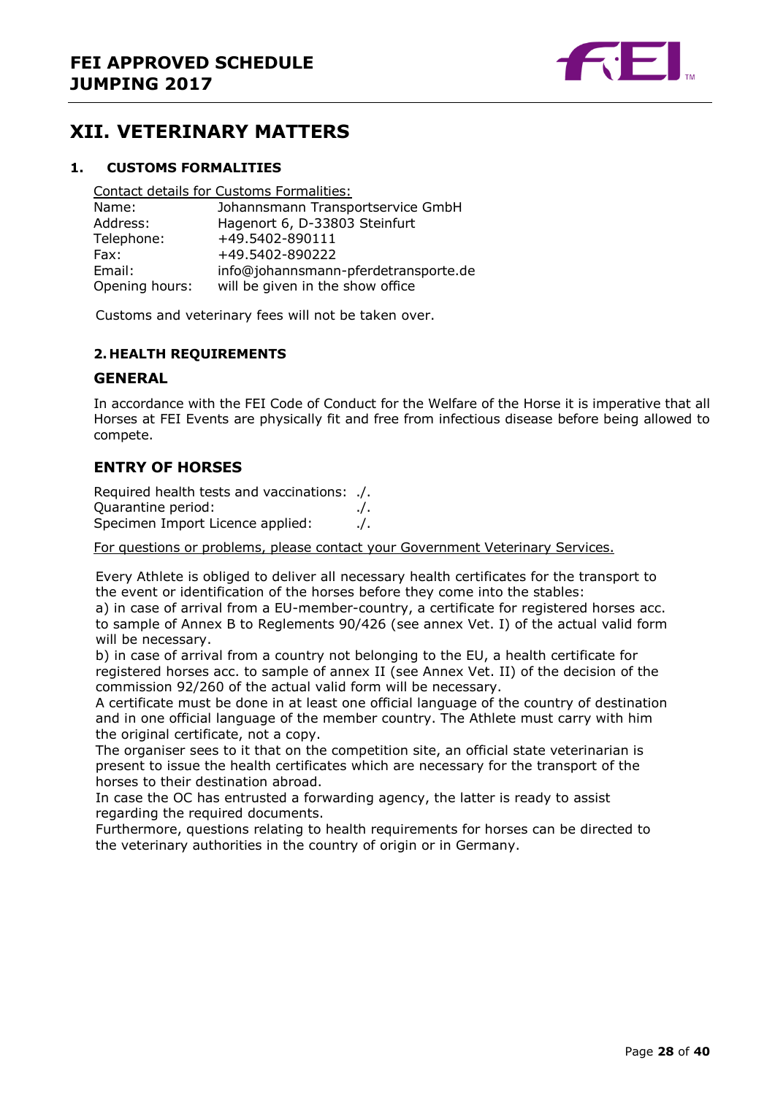

## <span id="page-27-0"></span>**XII. VETERINARY MATTERS**

#### <span id="page-27-1"></span>**1. CUSTOMS FORMALITIES**

Contact details for Customs Formalities: Name: Johannsmann Transportservice GmbH

| Address:       | Hagenort 6, D-33803 Steinfurt        |
|----------------|--------------------------------------|
| Telephone:     | +49.5402-890111                      |
| Fax:           | +49.5402-890222                      |
| Email:         | info@johannsmann-pferdetransporte.de |
| Opening hours: | will be given in the show office     |

Customs and veterinary fees will not be taken over.

#### <span id="page-27-2"></span>**2. HEALTH REQUIREMENTS**

#### **GENERAL**

In accordance with the FEI Code of Conduct for the Welfare of the Horse it is imperative that all Horses at FEI Events are physically fit and free from infectious disease before being allowed to compete.

#### **ENTRY OF HORSES**

Required health tests and vaccinations: ./. Quarantine period: ./. Specimen Import Licence applied: ./.

For questions or problems, please contact your Government Veterinary Services.

Every Athlete is obliged to deliver all necessary health certificates for the transport to the event or identification of the horses before they come into the stables:

a) in case of arrival from a EU-member-country, a certificate for registered horses acc. to sample of Annex B to Reglements 90/426 (see annex Vet. I) of the actual valid form will be necessary.

b) in case of arrival from a country not belonging to the EU, a health certificate for registered horses acc. to sample of annex II (see Annex Vet. II) of the decision of the commission 92/260 of the actual valid form will be necessary.

A certificate must be done in at least one official language of the country of destination and in one official language of the member country. The Athlete must carry with him the original certificate, not a copy.

The organiser sees to it that on the competition site, an official state veterinarian is present to issue the health certificates which are necessary for the transport of the horses to their destination abroad.

In case the OC has entrusted a forwarding agency, the latter is ready to assist regarding the required documents.

Furthermore, questions relating to health requirements for horses can be directed to the veterinary authorities in the country of origin or in Germany.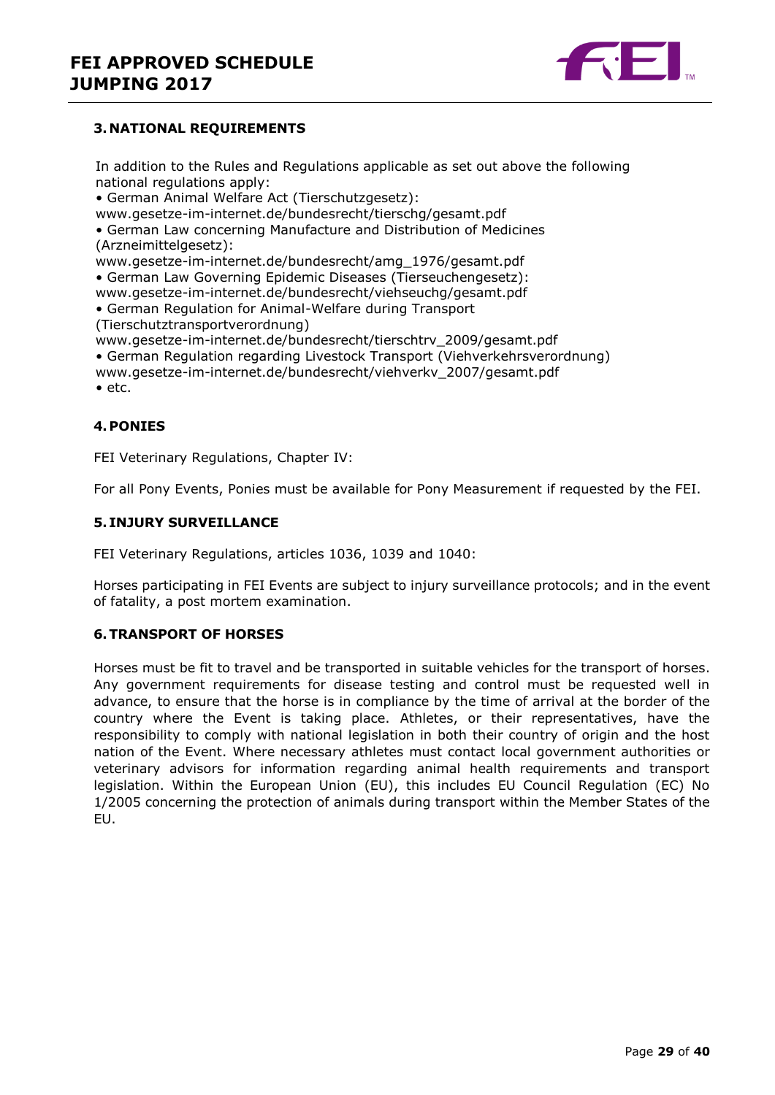

#### <span id="page-28-0"></span>**3. NATIONAL REQUIREMENTS**

In addition to the Rules and Regulations applicable as set out above the following national regulations apply:

• German Animal Welfare Act (Tierschutzgesetz):

www.gesetze-im-internet.de/bundesrecht/tierschg/gesamt.pdf

• German Law concerning Manufacture and Distribution of Medicines (Arzneimittelgesetz):

www.gesetze-im-internet.de/bundesrecht/amg\_1976/gesamt.pdf

• German Law Governing Epidemic Diseases (Tierseuchengesetz):

www.gesetze-im-internet.de/bundesrecht/viehseuchg/gesamt.pdf

• German Regulation for Animal-Welfare during Transport (Tierschutztransportverordnung)

www.gesetze-im-internet.de/bundesrecht/tierschtrv\_2009/gesamt.pdf

• German Regulation regarding Livestock Transport (Viehverkehrsverordnung)

www.gesetze-im-internet.de/bundesrecht/viehverkv\_2007/gesamt.pdf

• etc.

#### <span id="page-28-1"></span>**4.PONIES**

FEI Veterinary Regulations, Chapter IV:

For all Pony Events, Ponies must be available for Pony Measurement if requested by the FEI.

#### <span id="page-28-2"></span>**5. INJURY SURVEILLANCE**

FEI Veterinary Regulations, articles 1036, 1039 and 1040:

Horses participating in FEI Events are subject to injury surveillance protocols; and in the event of fatality, a post mortem examination.

#### <span id="page-28-3"></span>**6.TRANSPORT OF HORSES**

Horses must be fit to travel and be transported in suitable vehicles for the transport of horses. Any government requirements for disease testing and control must be requested well in advance, to ensure that the horse is in compliance by the time of arrival at the border of the country where the Event is taking place. Athletes, or their representatives, have the responsibility to comply with national legislation in both their country of origin and the host nation of the Event. Where necessary athletes must contact local government authorities or veterinary advisors for information regarding animal health requirements and transport legislation. Within the European Union (EU), this includes EU Council Regulation (EC) No 1/2005 concerning the protection of animals during transport within the Member States of the EU.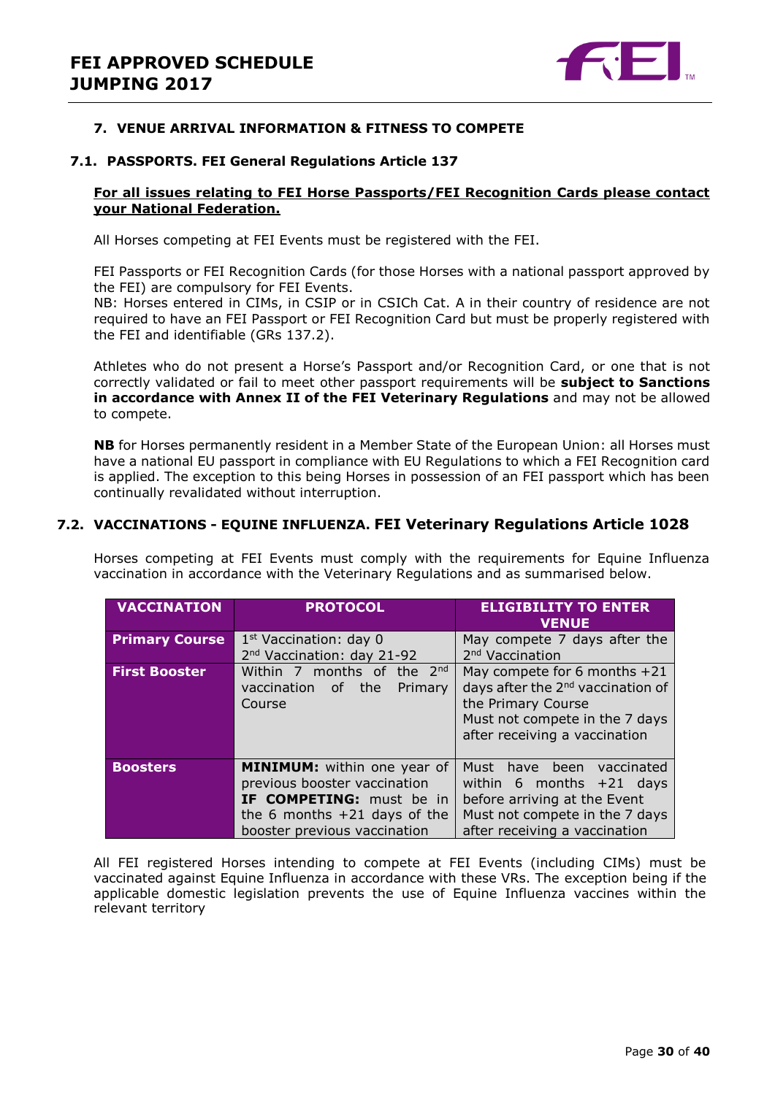

#### <span id="page-29-0"></span>**7. VENUE ARRIVAL INFORMATION & FITNESS TO COMPETE**

#### **7.1. PASSPORTS. FEI General Regulations Article 137**

#### **For all issues relating to FEI Horse Passports/FEI Recognition Cards please contact your National Federation.**

All Horses competing at FEI Events must be registered with the FEI.

FEI Passports or FEI Recognition Cards (for those Horses with a national passport approved by the FEI) are compulsory for FEI Events.

NB: Horses entered in CIMs, in CSIP or in CSICh Cat. A in their country of residence are not required to have an FEI Passport or FEI Recognition Card but must be properly registered with the FEI and identifiable (GRs 137.2).

Athletes who do not present a Horse's Passport and/or Recognition Card, or one that is not correctly validated or fail to meet other passport requirements will be **subject to Sanctions in accordance with Annex II of the FEI Veterinary Regulations** and may not be allowed to compete.

**NB** for Horses permanently resident in a Member State of the European Union: all Horses must have a national EU passport in compliance with EU Regulations to which a FEI Recognition card is applied. The exception to this being Horses in possession of an FEI passport which has been continually revalidated without interruption.

#### **7.2. VACCINATIONS - EQUINE INFLUENZA. FEI Veterinary Regulations Article 1028**

Horses competing at FEI Events must comply with the requirements for Equine Influenza vaccination in accordance with the Veterinary Regulations and as summarised below.

| <b>VACCINATION</b>    | <b>PROTOCOL</b>                                                                                                                                                         | <b>ELIGIBILITY TO ENTER</b><br><b>VENUE</b>                                                                                                                              |  |  |
|-----------------------|-------------------------------------------------------------------------------------------------------------------------------------------------------------------------|--------------------------------------------------------------------------------------------------------------------------------------------------------------------------|--|--|
| <b>Primary Course</b> | 1 <sup>st</sup> Vaccination: day 0<br>2 <sup>nd</sup> Vaccination: day 21-92                                                                                            | May compete 7 days after the<br>2 <sup>nd</sup> Vaccination                                                                                                              |  |  |
| <b>First Booster</b>  | Within 7 months of the $2^{nd}$<br>the<br>Primary<br>vaccination<br>of<br>Course                                                                                        | May compete for 6 months $+21$<br>days after the 2 <sup>nd</sup> vaccination of<br>the Primary Course<br>Must not compete in the 7 days<br>after receiving a vaccination |  |  |
| <b>Boosters</b>       | <b>MINIMUM:</b> within one year of<br>previous booster vaccination<br><b>IF COMPETING:</b> must be in<br>the 6 months $+21$ days of the<br>booster previous vaccination | Must have been vaccinated<br>within 6 months $+21$ days<br>before arriving at the Event<br>Must not compete in the 7 days<br>after receiving a vaccination               |  |  |

All FEI registered Horses intending to compete at FEI Events (including CIMs) must be vaccinated against Equine Influenza in accordance with these VRs. The exception being if the applicable domestic legislation prevents the use of Equine Influenza vaccines within the relevant territory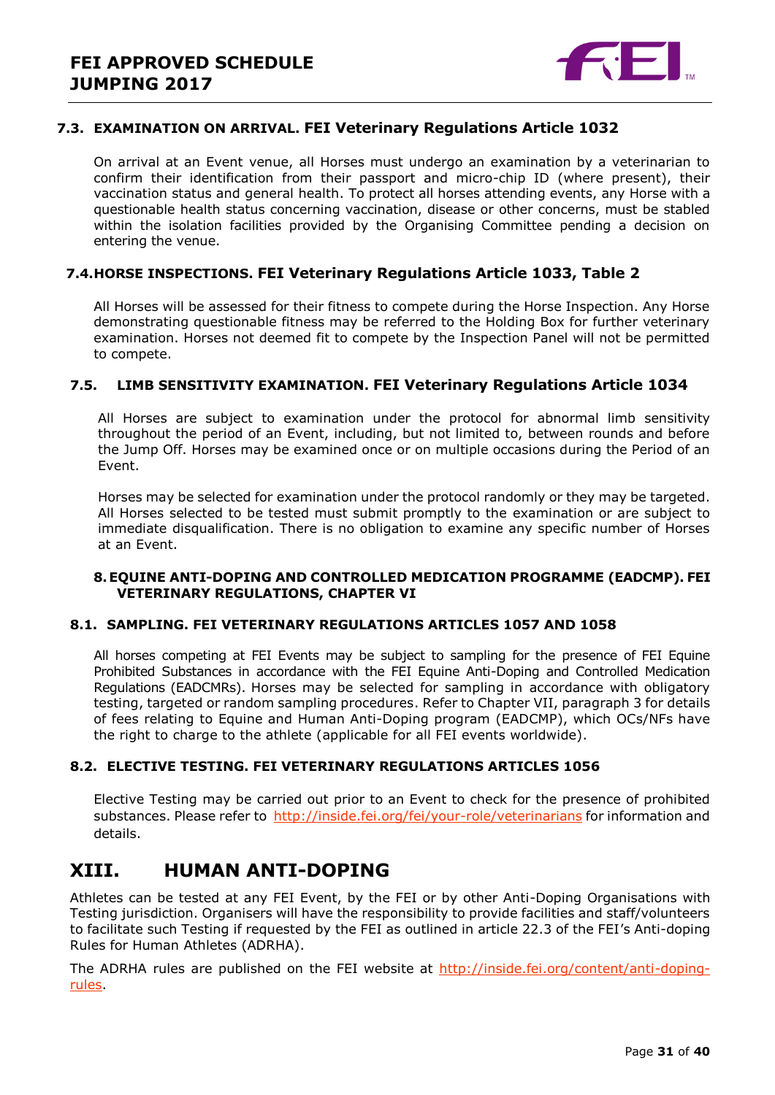

#### **7.3. EXAMINATION ON ARRIVAL. FEI Veterinary Regulations Article 1032**

On arrival at an Event venue, all Horses must undergo an examination by a veterinarian to confirm their identification from their passport and micro-chip ID (where present), their vaccination status and general health. To protect all horses attending events, any Horse with a questionable health status concerning vaccination, disease or other concerns, must be stabled within the isolation facilities provided by the Organising Committee pending a decision on entering the venue.

#### **7.4.HORSE INSPECTIONS. FEI Veterinary Regulations Article 1033, Table 2**

All Horses will be assessed for their fitness to compete during the Horse Inspection. Any Horse demonstrating questionable fitness may be referred to the Holding Box for further veterinary examination. Horses not deemed fit to compete by the Inspection Panel will not be permitted to compete.

#### **7.5. LIMB SENSITIVITY EXAMINATION. FEI Veterinary Regulations Article 1034**

All Horses are subject to examination under the protocol for abnormal limb sensitivity throughout the period of an Event, including, but not limited to, between rounds and before the Jump Off. Horses may be examined once or on multiple occasions during the Period of an Event.

Horses may be selected for examination under the protocol randomly or they may be targeted. All Horses selected to be tested must submit promptly to the examination or are subject to immediate disqualification. There is no obligation to examine any specific number of Horses at an Event.

#### <span id="page-30-0"></span>**8.EQUINE ANTI-DOPING AND CONTROLLED MEDICATION PROGRAMME (EADCMP). FEI VETERINARY REGULATIONS, CHAPTER VI**

#### **8.1. SAMPLING. FEI VETERINARY REGULATIONS ARTICLES 1057 AND 1058**

All horses competing at FEI Events may be subject to sampling for the presence of FEI Equine Prohibited Substances in accordance with the FEI Equine Anti-Doping and Controlled Medication Regulations (EADCMRs). Horses may be selected for sampling in accordance with obligatory testing, targeted or random sampling procedures. Refer to Chapter VII, paragraph 3 for details of fees relating to Equine and Human Anti-Doping program (EADCMP), which OCs/NFs have the right to charge to the athlete (applicable for all FEI events worldwide).

#### **8.2. ELECTIVE TESTING. FEI VETERINARY REGULATIONS ARTICLES 1056**

Elective Testing may be carried out prior to an Event to check for the presence of prohibited substances. Please refer to<http://inside.fei.org/fei/your-role/veterinarians> for information and details.

## <span id="page-30-1"></span>**XIII. HUMAN ANTI-DOPING**

Athletes can be tested at any FEI Event, by the FEI or by other Anti-Doping Organisations with Testing jurisdiction. Organisers will have the responsibility to provide facilities and staff/volunteers to facilitate such Testing if requested by the FEI as outlined in article 22.3 of the FEI's Anti-doping Rules for Human Athletes (ADRHA).

The ADRHA rules are published on the FEI website at [http://inside.fei.org/content/anti-doping](http://inside.fei.org/content/anti-doping-rules)[rules.](http://inside.fei.org/content/anti-doping-rules)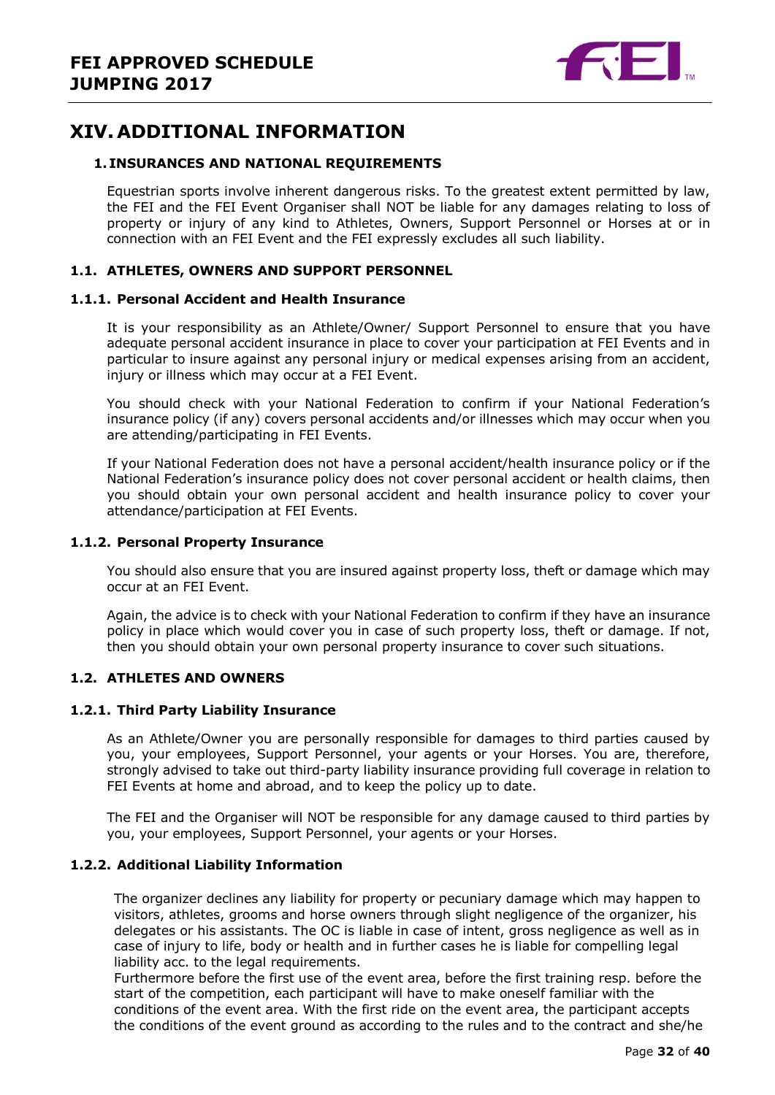

## <span id="page-31-0"></span>**XIV. ADDITIONAL INFORMATION**

#### <span id="page-31-1"></span>**1. INSURANCES AND NATIONAL REQUIREMENTS**

Equestrian sports involve inherent dangerous risks. To the greatest extent permitted by law, the FEI and the FEI Event Organiser shall NOT be liable for any damages relating to loss of property or injury of any kind to Athletes, Owners, Support Personnel or Horses at or in connection with an FEI Event and the FEI expressly excludes all such liability.

#### **1.1. ATHLETES, OWNERS AND SUPPORT PERSONNEL**

#### **1.1.1. Personal Accident and Health Insurance**

It is your responsibility as an Athlete/Owner/ Support Personnel to ensure that you have adequate personal accident insurance in place to cover your participation at FEI Events and in particular to insure against any personal injury or medical expenses arising from an accident, injury or illness which may occur at a FEI Event.

You should check with your National Federation to confirm if your National Federation's insurance policy (if any) covers personal accidents and/or illnesses which may occur when you are attending/participating in FEI Events.

If your National Federation does not have a personal accident/health insurance policy or if the National Federation's insurance policy does not cover personal accident or health claims, then you should obtain your own personal accident and health insurance policy to cover your attendance/participation at FEI Events.

#### **1.1.2. Personal Property Insurance**

You should also ensure that you are insured against property loss, theft or damage which may occur at an FEI Event.

Again, the advice is to check with your National Federation to confirm if they have an insurance policy in place which would cover you in case of such property loss, theft or damage. If not, then you should obtain your own personal property insurance to cover such situations.

#### **1.2. ATHLETES AND OWNERS**

#### **1.2.1. Third Party Liability Insurance**

As an Athlete/Owner you are personally responsible for damages to third parties caused by you, your employees, Support Personnel, your agents or your Horses. You are, therefore, strongly advised to take out third-party liability insurance providing full coverage in relation to FEI Events at home and abroad, and to keep the policy up to date.

The FEI and the Organiser will NOT be responsible for any damage caused to third parties by you, your employees, Support Personnel, your agents or your Horses.

#### **1.2.2. Additional Liability Information**

The organizer declines any liability for property or pecuniary damage which may happen to visitors, athletes, grooms and horse owners through slight negligence of the organizer, his delegates or his assistants. The OC is liable in case of intent, gross negligence as well as in case of injury to life, body or health and in further cases he is liable for compelling legal liability acc. to the legal requirements.

Furthermore before the first use of the event area, before the first training resp. before the start of the competition, each participant will have to make oneself familiar with the conditions of the event area. With the first ride on the event area, the participant accepts the conditions of the event ground as according to the rules and to the contract and she/he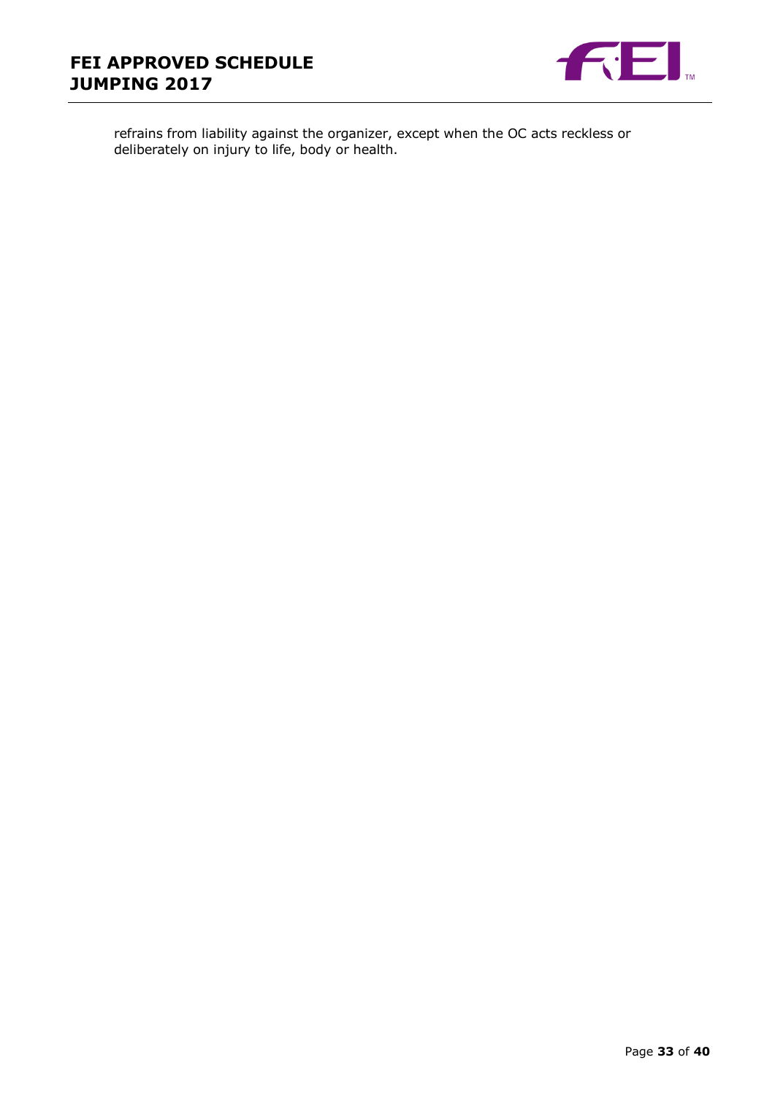

refrains from liability against the organizer, except when the OC acts reckless or deliberately on injury to life, body or health.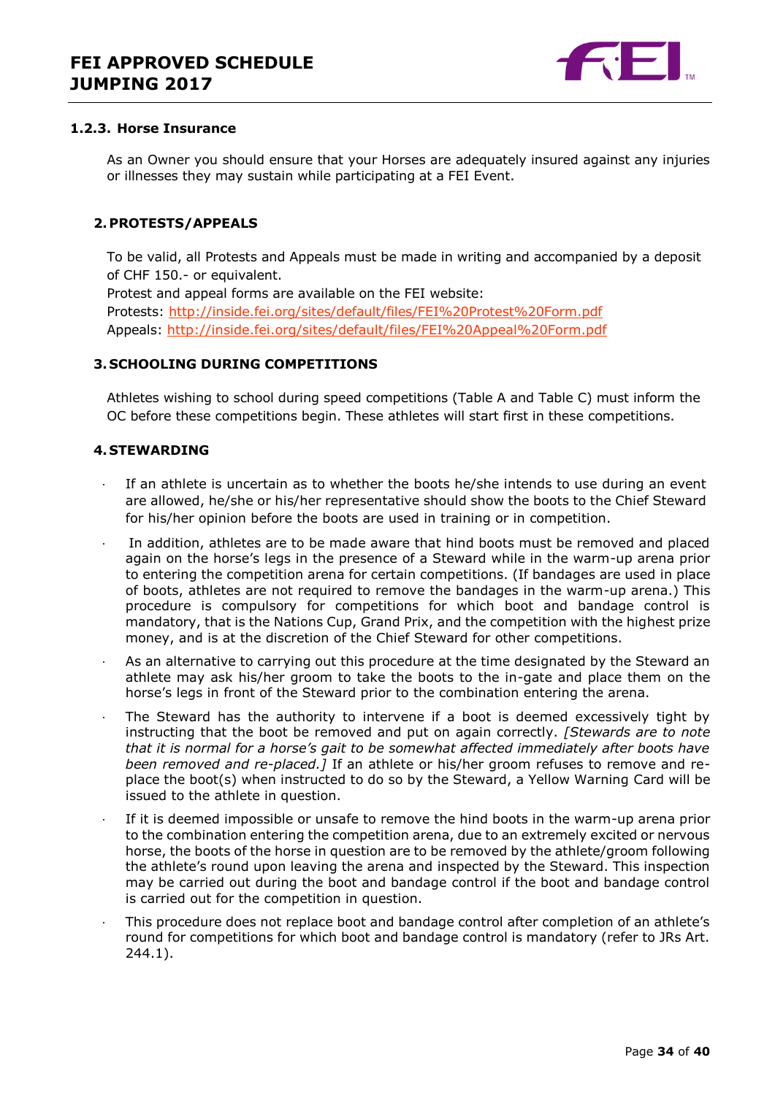

#### **1.2.3. Horse Insurance**

As an Owner you should ensure that your Horses are adequately insured against any injuries or illnesses they may sustain while participating at a FEI Event.

#### <span id="page-33-0"></span>**2.PROTESTS/APPEALS**

To be valid, all Protests and Appeals must be made in writing and accompanied by a deposit of CHF 150.- or equivalent.

Protest and appeal forms are available on the FEI website: Protests:<http://inside.fei.org/sites/default/files/FEI%20Protest%20Form.pdf> Appeals:<http://inside.fei.org/sites/default/files/FEI%20Appeal%20Form.pdf>

#### <span id="page-33-1"></span>**3. SCHOOLING DURING COMPETITIONS**

Athletes wishing to school during speed competitions (Table A and Table C) must inform the OC before these competitions begin. These athletes will start first in these competitions.

#### <span id="page-33-2"></span>**4. STEWARDING**

- If an athlete is uncertain as to whether the boots he/she intends to use during an event are allowed, he/she or his/her representative should show the boots to the Chief Steward for his/her opinion before the boots are used in training or in competition.
- In addition, athletes are to be made aware that hind boots must be removed and placed again on the horse's legs in the presence of a Steward while in the warm-up arena prior to entering the competition arena for certain competitions. (If bandages are used in place of boots, athletes are not required to remove the bandages in the warm-up arena.) This procedure is compulsory for competitions for which boot and bandage control is mandatory, that is the Nations Cup, Grand Prix, and the competition with the highest prize money, and is at the discretion of the Chief Steward for other competitions.
- As an alternative to carrying out this procedure at the time designated by the Steward an athlete may ask his/her groom to take the boots to the in-gate and place them on the horse's legs in front of the Steward prior to the combination entering the arena.
- The Steward has the authority to intervene if a boot is deemed excessively tight by instructing that the boot be removed and put on again correctly. *[Stewards are to note that it is normal for a horse's gait to be somewhat affected immediately after boots have been removed and re-placed.]* If an athlete or his/her groom refuses to remove and replace the boot(s) when instructed to do so by the Steward, a Yellow Warning Card will be issued to the athlete in question.
- If it is deemed impossible or unsafe to remove the hind boots in the warm-up arena prior to the combination entering the competition arena, due to an extremely excited or nervous horse, the boots of the horse in question are to be removed by the athlete/groom following the athlete's round upon leaving the arena and inspected by the Steward. This inspection may be carried out during the boot and bandage control if the boot and bandage control is carried out for the competition in question.
- · This procedure does not replace boot and bandage control after completion of an athlete's round for competitions for which boot and bandage control is mandatory (refer to JRs Art. 244.1).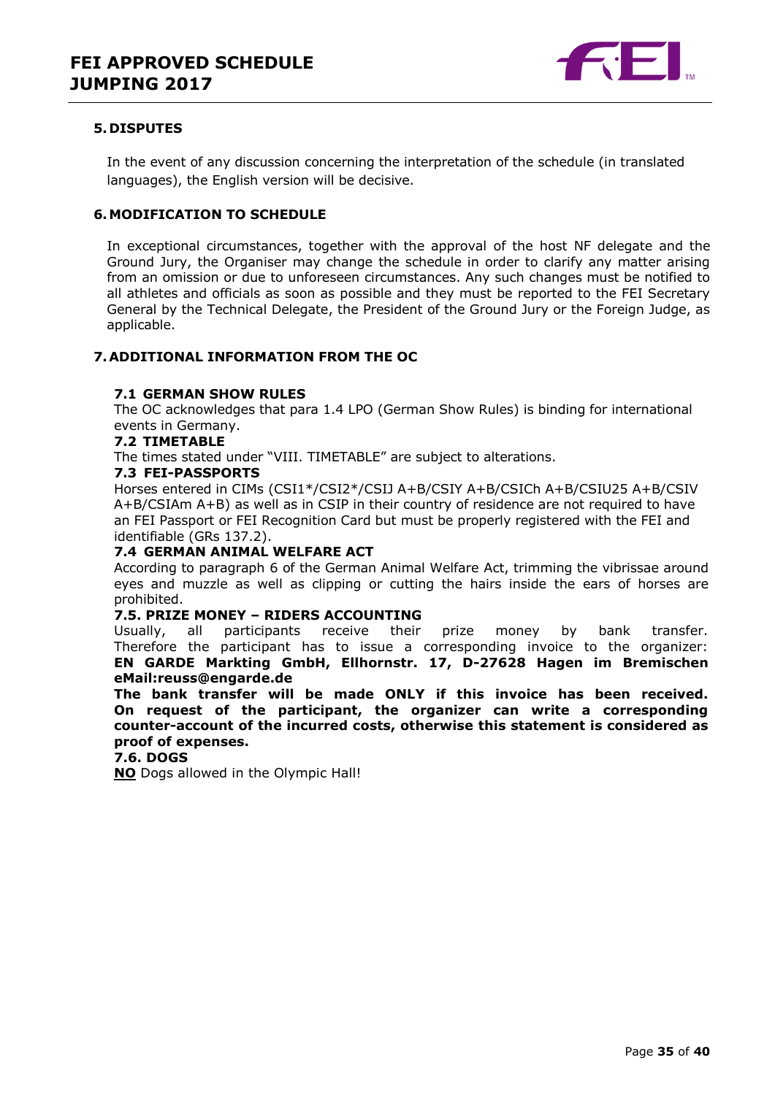

#### <span id="page-34-0"></span>**5. DISPUTES**

In the event of any discussion concerning the interpretation of the schedule (in translated languages), the English version will be decisive.

#### <span id="page-34-1"></span>**6.MODIFICATION TO SCHEDULE**

In exceptional circumstances, together with the approval of the host NF delegate and the Ground Jury, the Organiser may change the schedule in order to clarify any matter arising from an omission or due to unforeseen circumstances. Any such changes must be notified to all athletes and officials as soon as possible and they must be reported to the FEI Secretary General by the Technical Delegate, the President of the Ground Jury or the Foreign Judge, as applicable.

#### <span id="page-34-2"></span>**7.ADDITIONAL INFORMATION FROM THE OC**

#### **7.1 GERMAN SHOW RULES**

The OC acknowledges that para 1.4 LPO (German Show Rules) is binding for international events in Germany.

#### **7.2 TIMETABLE**

The times stated under "VIII. TIMETABLE" are subject to alterations.

#### **7.3 FEI-PASSPORTS**

Horses entered in CIMs (CSI1\*/CSI2\*/CSIJ A+B/CSIY A+B/CSICh A+B/CSIU25 A+B/CSIV A+B/CSIAm A+B) as well as in CSIP in their country of residence are not required to have an FEI Passport or FEI Recognition Card but must be properly registered with the FEI and identifiable (GRs 137.2).

#### **7.4 GERMAN ANIMAL WELFARE ACT**

According to paragraph 6 of the German Animal Welfare Act, trimming the vibrissae around eyes and muzzle as well as clipping or cutting the hairs inside the ears of horses are prohibited.

#### **7.5. PRIZE MONEY – RIDERS ACCOUNTING**

Usually, all participants receive their prize money by bank transfer. Therefore the participant has to issue a corresponding invoice to the organizer: **EN GARDE Markting GmbH, Ellhornstr. 17, D-27628 Hagen im Bremischen eMail:reuss@engarde.de** 

**The bank transfer will be made ONLY if this invoice has been received. On request of the participant, the organizer can write a corresponding counter-account of the incurred costs, otherwise this statement is considered as proof of expenses.**

#### **7.6. DOGS**

**NO** Dogs allowed in the Olympic Hall!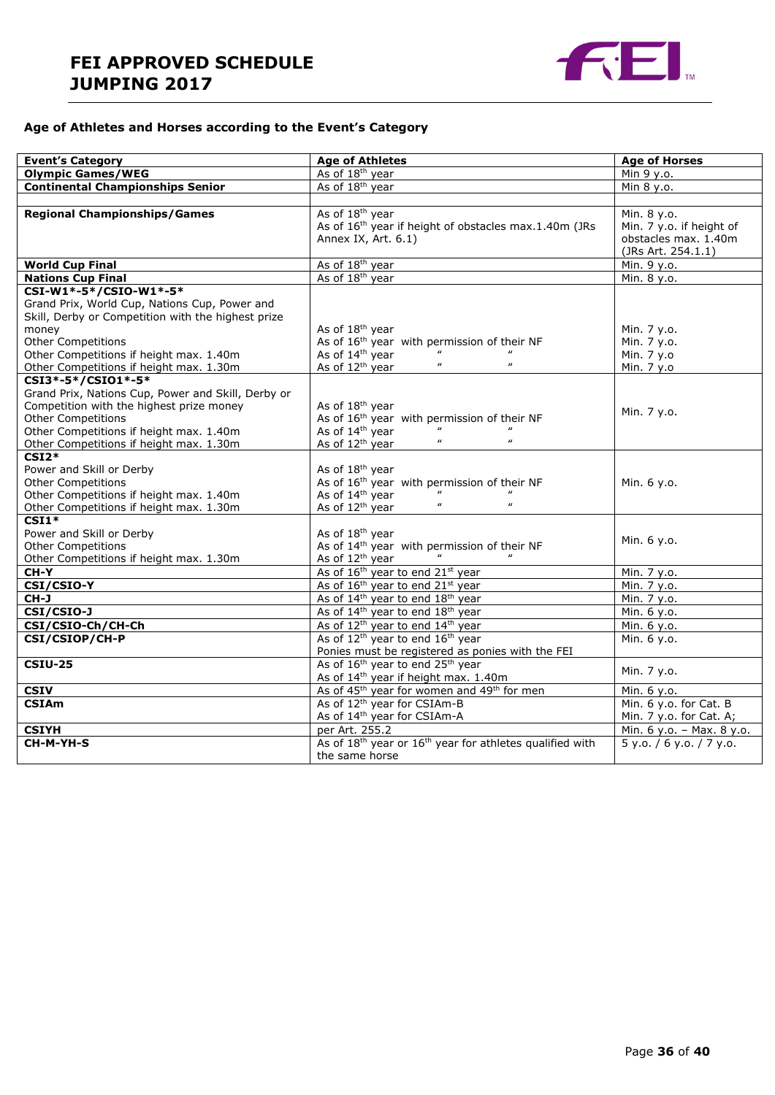

### **Age of Athletes and Horses according to the Event's Category**

| <b>Event's Category</b>                                                                                                                                                                                                                                   | <b>Age of Athletes</b>                                                                                                                                                                           | <b>Age of Horses</b>                                                                  |  |
|-----------------------------------------------------------------------------------------------------------------------------------------------------------------------------------------------------------------------------------------------------------|--------------------------------------------------------------------------------------------------------------------------------------------------------------------------------------------------|---------------------------------------------------------------------------------------|--|
| <b>Olympic Games/WEG</b>                                                                                                                                                                                                                                  | As of 18 <sup>th</sup> year                                                                                                                                                                      | Min 9 y.o.                                                                            |  |
| <b>Continental Championships Senior</b>                                                                                                                                                                                                                   | As of 18 <sup>th</sup> year                                                                                                                                                                      | Min 8 y.o.                                                                            |  |
|                                                                                                                                                                                                                                                           |                                                                                                                                                                                                  |                                                                                       |  |
| <b>Regional Championships/Games</b>                                                                                                                                                                                                                       | As of 18 <sup>th</sup> year<br>As of 16 <sup>th</sup> year if height of obstacles max.1.40m (JRs<br>Annex IX, Art. 6.1)                                                                          | Min. 8 y.o.<br>Min. 7 y.o. if height of<br>obstacles max. 1.40m<br>(JRs Art. 254.1.1) |  |
| <b>World Cup Final</b>                                                                                                                                                                                                                                    | As of 18 <sup>th</sup> year                                                                                                                                                                      | Min. 9 y.o.                                                                           |  |
| <b>Nations Cup Final</b>                                                                                                                                                                                                                                  | As of 18 <sup>th</sup> year                                                                                                                                                                      | Min. 8 y.o.                                                                           |  |
| CSI-W1*-5*/CSIO-W1*-5*<br>Grand Prix, World Cup, Nations Cup, Power and<br>Skill, Derby or Competition with the highest prize<br>money<br><b>Other Competitions</b><br>Other Competitions if height max. 1.40m<br>Other Competitions if height max. 1.30m | As of 18 <sup>th</sup> year<br>As of 16 <sup>th</sup> year with permission of their NF<br>As of 14 <sup>th</sup> year<br>$\boldsymbol{\mu}$<br>$\boldsymbol{\mu}$<br>As of 12 <sup>th</sup> year | Min. 7 y.o.<br>Min. 7 y.o.<br>Min. 7 y.o<br>Min. 7 y.o                                |  |
| CSI3*-5*/CSI01*-5*                                                                                                                                                                                                                                        |                                                                                                                                                                                                  |                                                                                       |  |
| Grand Prix, Nations Cup, Power and Skill, Derby or<br>Competition with the highest prize money<br><b>Other Competitions</b><br>Other Competitions if height max. 1.40m<br>Other Competitions if height max. 1.30m                                         | As of 18 <sup>th</sup> year<br>As of 16 <sup>th</sup> year with permission of their NF<br>As of 14 <sup>th</sup> year<br>$\boldsymbol{\mu}$<br>$\boldsymbol{\mu}$<br>As of 12 <sup>th</sup> year | Min. 7 y.o.                                                                           |  |
| $CSI2*$<br>Power and Skill or Derby<br><b>Other Competitions</b><br>Other Competitions if height max. 1.40m<br>Other Competitions if height max. 1.30m                                                                                                    | As of 18 <sup>th</sup> year<br>As of 16 <sup>th</sup> year with permission of their NF<br>As of 14 <sup>th</sup> year<br>$\boldsymbol{\mu}$<br>$\boldsymbol{u}$<br>As of 12 <sup>th</sup> year   | Min. 6 y.o.                                                                           |  |
| $CSI1*$<br>Power and Skill or Derby<br><b>Other Competitions</b><br>Other Competitions if height max. 1.30m                                                                                                                                               | As of 18 <sup>th</sup> year<br>As of 14 <sup>th</sup> year with permission of their NF<br>As of 12 <sup>th</sup> year                                                                            | Min. 6 y.o.                                                                           |  |
| CH-Y                                                                                                                                                                                                                                                      | As of 16 <sup>th</sup> year to end 21 <sup>st</sup> year                                                                                                                                         | Min. 7 y.o.                                                                           |  |
| CSI/CSIO-Y                                                                                                                                                                                                                                                | As of 16 <sup>th</sup> year to end 21 <sup>st</sup> year                                                                                                                                         | Min. 7 y.o.                                                                           |  |
| CH-J                                                                                                                                                                                                                                                      | As of 14 <sup>th</sup> year to end 18 <sup>th</sup> year                                                                                                                                         | Min. 7 y.o.                                                                           |  |
| CSI/CSIO-J                                                                                                                                                                                                                                                | As of 14 <sup>th</sup> year to end 18 <sup>th</sup> year                                                                                                                                         | Min. 6 y.o.                                                                           |  |
| CSI/CSIO-Ch/CH-Ch                                                                                                                                                                                                                                         | As of 12 <sup>th</sup> year to end 14 <sup>th</sup> year                                                                                                                                         | Min. 6 y.o.                                                                           |  |
| CSI/CSIOP/CH-P                                                                                                                                                                                                                                            | As of 12 <sup>th</sup> year to end 16 <sup>th</sup> year                                                                                                                                         | Min. 6 y.o.                                                                           |  |
|                                                                                                                                                                                                                                                           | Ponies must be registered as ponies with the FEI                                                                                                                                                 |                                                                                       |  |
| <b>CSIU-25</b>                                                                                                                                                                                                                                            | As of 16 <sup>th</sup> year to end 25 <sup>th</sup> year<br>As of 14 <sup>th</sup> year if height max. 1.40m                                                                                     | Min. 7 y.o.                                                                           |  |
| <b>CSIV</b>                                                                                                                                                                                                                                               | As of 45 <sup>th</sup> year for women and 49 <sup>th</sup> for men                                                                                                                               | Min. 6 y.o.                                                                           |  |
| <b>CSIAm</b>                                                                                                                                                                                                                                              | As of 12 <sup>th</sup> year for CSIAm-B<br>As of 14 <sup>th</sup> year for CSIAm-A                                                                                                               | Min. 6 y.o. for Cat. B<br>Min. 7 y.o. for Cat. A;                                     |  |
| <b>CSIYH</b>                                                                                                                                                                                                                                              | per Art. 255.2                                                                                                                                                                                   | Min. 6 y.o. - Max. 8 y.o.                                                             |  |
| CH-M-YH-S                                                                                                                                                                                                                                                 | As of 18 <sup>th</sup> year or 16 <sup>th</sup> year for athletes qualified with<br>the same horse                                                                                               | 5 y.0. / 6 y.0. / 7 y.0.                                                              |  |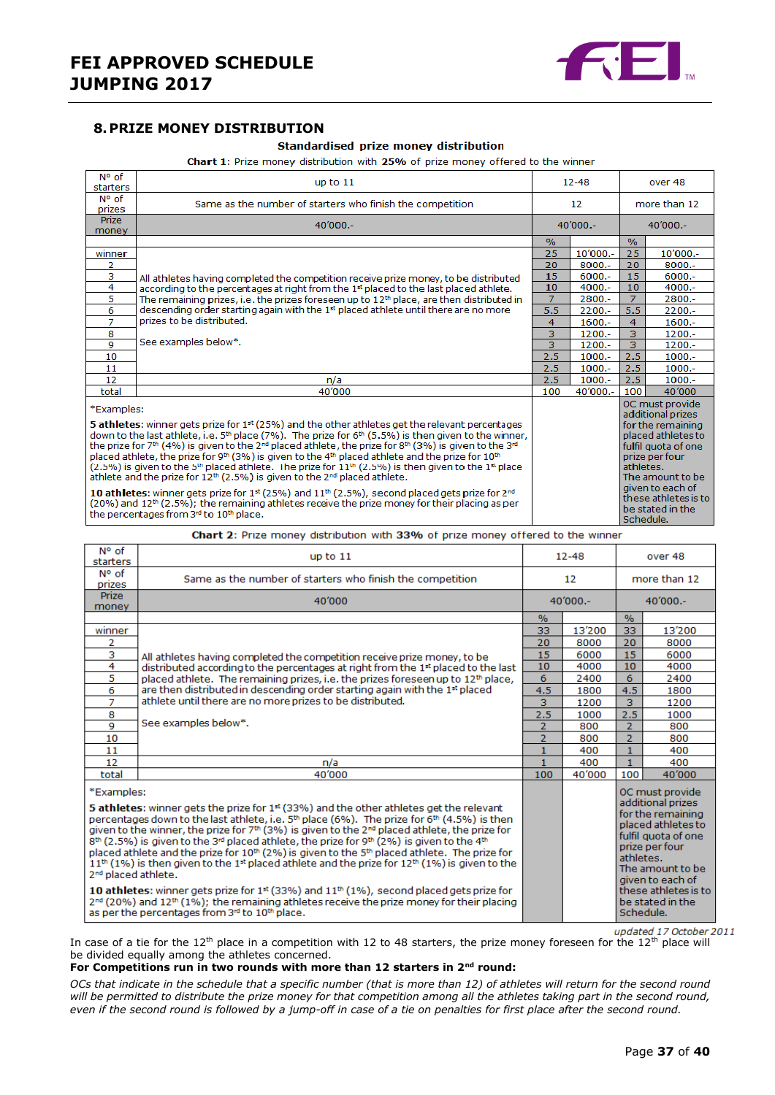

#### <span id="page-36-0"></span>**8.PRIZE MONEY DISTRIBUTION**

#### Standardised prize money distribution

Chart 1: Prize money distribution with 25% of prize money offered to the winner

| N° of<br>starters                                                                                                                                                                                                                                                                                                                                                                                                                                                                                                                                                                                                                                                                                                                                                                                                                                                                                                                                                                                                       | up to $11$                                                                                           |                   | $12 - 48$ |                        | over 48                                                                                                                                                                                                      |  |
|-------------------------------------------------------------------------------------------------------------------------------------------------------------------------------------------------------------------------------------------------------------------------------------------------------------------------------------------------------------------------------------------------------------------------------------------------------------------------------------------------------------------------------------------------------------------------------------------------------------------------------------------------------------------------------------------------------------------------------------------------------------------------------------------------------------------------------------------------------------------------------------------------------------------------------------------------------------------------------------------------------------------------|------------------------------------------------------------------------------------------------------|-------------------|-----------|------------------------|--------------------------------------------------------------------------------------------------------------------------------------------------------------------------------------------------------------|--|
| N° of<br>prizes                                                                                                                                                                                                                                                                                                                                                                                                                                                                                                                                                                                                                                                                                                                                                                                                                                                                                                                                                                                                         | Same as the number of starters who finish the competition                                            | $12 \overline{ }$ |           |                        | more than 12                                                                                                                                                                                                 |  |
| <b>Prize</b><br>money                                                                                                                                                                                                                                                                                                                                                                                                                                                                                                                                                                                                                                                                                                                                                                                                                                                                                                                                                                                                   | 40'000 .-                                                                                            | $40'000 -$        |           | $40'000 -$             |                                                                                                                                                                                                              |  |
|                                                                                                                                                                                                                                                                                                                                                                                                                                                                                                                                                                                                                                                                                                                                                                                                                                                                                                                                                                                                                         |                                                                                                      | $\frac{9}{6}$     |           | $\%$                   |                                                                                                                                                                                                              |  |
| winner                                                                                                                                                                                                                                                                                                                                                                                                                                                                                                                                                                                                                                                                                                                                                                                                                                                                                                                                                                                                                  |                                                                                                      | 25                | 10'000 .- | 25                     | 10'000 .-                                                                                                                                                                                                    |  |
| 2                                                                                                                                                                                                                                                                                                                                                                                                                                                                                                                                                                                                                                                                                                                                                                                                                                                                                                                                                                                                                       |                                                                                                      | 20                | $8000 -$  | 20                     | $8000 -$                                                                                                                                                                                                     |  |
| з                                                                                                                                                                                                                                                                                                                                                                                                                                                                                                                                                                                                                                                                                                                                                                                                                                                                                                                                                                                                                       | All athletes having completed the competition receive prize money, to be distributed                 | 15                | $6000 -$  | 15                     | $6000 -$                                                                                                                                                                                                     |  |
| 4                                                                                                                                                                                                                                                                                                                                                                                                                                                                                                                                                                                                                                                                                                                                                                                                                                                                                                                                                                                                                       | according to the percentages at right from the 1 <sup>st</sup> placed to the last placed athlete.    | 10                | $4000 -$  | 10                     | $4000 -$                                                                                                                                                                                                     |  |
| 5                                                                                                                                                                                                                                                                                                                                                                                                                                                                                                                                                                                                                                                                                                                                                                                                                                                                                                                                                                                                                       | The remaining prizes, i.e. the prizes foreseen up to 12 <sup>th</sup> place, are then distributed in | $\overline{7}$    | 2800.-    | $\overline{7}$         | 2800.-                                                                                                                                                                                                       |  |
| 6                                                                                                                                                                                                                                                                                                                                                                                                                                                                                                                                                                                                                                                                                                                                                                                                                                                                                                                                                                                                                       | descending order starting again with the 1 <sup>st</sup> placed athlete until there are no more      | 5.5               | $2200 -$  | 5.5                    | $2200 -$                                                                                                                                                                                                     |  |
| $\overline{7}$                                                                                                                                                                                                                                                                                                                                                                                                                                                                                                                                                                                                                                                                                                                                                                                                                                                                                                                                                                                                          | prizes to be distributed.                                                                            | 4                 | $1600 -$  | 4                      | $1600 -$                                                                                                                                                                                                     |  |
| 8                                                                                                                                                                                                                                                                                                                                                                                                                                                                                                                                                                                                                                                                                                                                                                                                                                                                                                                                                                                                                       |                                                                                                      | 3                 | $1200 -$  | 3                      | $1200 -$                                                                                                                                                                                                     |  |
| 9                                                                                                                                                                                                                                                                                                                                                                                                                                                                                                                                                                                                                                                                                                                                                                                                                                                                                                                                                                                                                       | See examples below*.                                                                                 | 3                 | $1200 -$  | 3                      | $1200 -$                                                                                                                                                                                                     |  |
| 10                                                                                                                                                                                                                                                                                                                                                                                                                                                                                                                                                                                                                                                                                                                                                                                                                                                                                                                                                                                                                      |                                                                                                      | 2.5               | $1000.-$  | 2.5                    | $1000.-$                                                                                                                                                                                                     |  |
| 11                                                                                                                                                                                                                                                                                                                                                                                                                                                                                                                                                                                                                                                                                                                                                                                                                                                                                                                                                                                                                      |                                                                                                      | 2.5               | $1000.-$  | 2.5                    | $1000.-$                                                                                                                                                                                                     |  |
| 12                                                                                                                                                                                                                                                                                                                                                                                                                                                                                                                                                                                                                                                                                                                                                                                                                                                                                                                                                                                                                      | n/a                                                                                                  | 2.5               | $1000.-$  | 2.5                    | $1000 -$                                                                                                                                                                                                     |  |
| total                                                                                                                                                                                                                                                                                                                                                                                                                                                                                                                                                                                                                                                                                                                                                                                                                                                                                                                                                                                                                   | 40'000                                                                                               | 100               | 40'000 .- | 100                    | 40'000                                                                                                                                                                                                       |  |
| *Examples:<br>5 athletes: winner gets prize for $1st$ (25%) and the other athletes get the relevant percentages<br>down to the last athlete, i.e. $5th$ place (7%). The prize for $6th$ (5.5%) is then given to the winner,<br>the prize for 7th (4%) is given to the 2 <sup>nd</sup> placed athlete, the prize for 8th (3%) is given to the 3 <sup>nd</sup><br>placed athlete, the prize for 9 <sup>th</sup> (3%) is given to the 4 <sup>th</sup> placed athlete and the prize for 10 <sup>th</sup><br>$(2.5\%)$ is given to the 5 <sup>th</sup> placed athlete. The prize for 11 <sup>th</sup> $(2.5\%)$ is then given to the 1 <sup>st</sup> place<br>athlete and the prize for $12th$ (2.5%) is given to the $2nd$ placed athlete.<br>10 athletes: winner gets prize for $1st$ (25%) and $11th$ (2.5%), second placed gets prize for $2nd$<br>$(20%)$ and $12th$ (2.5%); the remaining athletes receive the prize money for their placing as per<br>the percentages from 3 <sup>rd</sup> to 10 <sup>th</sup> place. |                                                                                                      |                   |           | athletes.<br>Schedule. | OC must provide<br>additional prizes<br>for the remaining<br>placed athletes to<br>fulfil quota of one<br>prize per four<br>The amount to be<br>given to each of<br>these athletes is to<br>be stated in the |  |

Chart 2: Prize money distribution with 33% of prize money offered to the winner

| N° of<br>starters                                                                                                                                                                                                                                                                                                                                                                                                                                                                                   | up to $11$                                                                                   |                | $12 - 48$ |                                                                                                                          | over 48                                                                          |
|-----------------------------------------------------------------------------------------------------------------------------------------------------------------------------------------------------------------------------------------------------------------------------------------------------------------------------------------------------------------------------------------------------------------------------------------------------------------------------------------------------|----------------------------------------------------------------------------------------------|----------------|-----------|--------------------------------------------------------------------------------------------------------------------------|----------------------------------------------------------------------------------|
| N° of<br>prizes                                                                                                                                                                                                                                                                                                                                                                                                                                                                                     | Same as the number of starters who finish the competition                                    | 12             |           | more than 12                                                                                                             |                                                                                  |
| <b>Prize</b><br>money                                                                                                                                                                                                                                                                                                                                                                                                                                                                               | 40'000                                                                                       | $40'000 -$     |           | $40'000. -$                                                                                                              |                                                                                  |
|                                                                                                                                                                                                                                                                                                                                                                                                                                                                                                     |                                                                                              | $\%$           |           | $\frac{0}{6}$                                                                                                            |                                                                                  |
| winner                                                                                                                                                                                                                                                                                                                                                                                                                                                                                              |                                                                                              | 33             | 13'200    | 33                                                                                                                       | 13'200                                                                           |
| 2                                                                                                                                                                                                                                                                                                                                                                                                                                                                                                   |                                                                                              | 20             | 8000      | 20                                                                                                                       | 8000                                                                             |
| 3                                                                                                                                                                                                                                                                                                                                                                                                                                                                                                   | All athletes having completed the competition receive prize money, to be                     | 15             | 6000      | 15                                                                                                                       | 6000                                                                             |
| 4                                                                                                                                                                                                                                                                                                                                                                                                                                                                                                   | distributed according to the percentages at right from the 1st placed to the last            | 10             | 4000      | 10                                                                                                                       | 4000                                                                             |
| 5                                                                                                                                                                                                                                                                                                                                                                                                                                                                                                   | placed athlete. The remaining prizes, i.e. the prizes foreseen up to 12 <sup>th</sup> place, | 6              | 2400      | 6                                                                                                                        | 2400                                                                             |
| 6                                                                                                                                                                                                                                                                                                                                                                                                                                                                                                   | are then distributed in descending order starting again with the 1 <sup>st</sup> placed      | 4.5            | 1800      | 4.5                                                                                                                      | 1800                                                                             |
| $\overline{7}$                                                                                                                                                                                                                                                                                                                                                                                                                                                                                      | athlete until there are no more prizes to be distributed.                                    | 3              | 1200      | 3                                                                                                                        | 1200                                                                             |
| 8                                                                                                                                                                                                                                                                                                                                                                                                                                                                                                   |                                                                                              | 2.5            | 1000      | 2.5                                                                                                                      | 1000                                                                             |
| 9                                                                                                                                                                                                                                                                                                                                                                                                                                                                                                   | See examples below*.                                                                         | $\overline{2}$ | 800       | $\overline{2}$                                                                                                           | 800                                                                              |
| 10                                                                                                                                                                                                                                                                                                                                                                                                                                                                                                  |                                                                                              | 2              | 800       | $\overline{2}$                                                                                                           | 800                                                                              |
| 11                                                                                                                                                                                                                                                                                                                                                                                                                                                                                                  |                                                                                              | $\mathbf{1}$   | 400       | $\mathbf{1}$                                                                                                             | 400                                                                              |
| 12                                                                                                                                                                                                                                                                                                                                                                                                                                                                                                  | n/a                                                                                          | 1              | 400       | $\mathbf{1}$                                                                                                             | 400                                                                              |
| total                                                                                                                                                                                                                                                                                                                                                                                                                                                                                               | 40'000                                                                                       | 100            | 40'000    | 100                                                                                                                      | 40'000                                                                           |
| *Examples:<br>5 athletes: winner gets the prize for 1 <sup>st</sup> (33%) and the other athletes get the relevant<br>percentages down to the last athlete, i.e. 5 <sup>th</sup> place (6%). The prize for 6 <sup>th</sup> (4.5%) is then<br>given to the winner, the prize for $7th$ (3%) is given to the $2nd$ placed athlete, the prize for<br>$8th$ (2.5%) is given to the 3 <sup>rd</sup> placed athlete, the prize for 9 <sup>th</sup> (2%) is given to the 4 <sup>th</sup>                    |                                                                                              |                |           | OC must provide<br>additional prizes<br>for the remaining<br>placed athletes to<br>fulfil quota of one<br>prize per four |                                                                                  |
| placed athlete and the prize for 10 <sup>th</sup> (2%) is given to the 5 <sup>th</sup> placed athlete. The prize for<br>$11^{th}$ (1%) is then given to the 1 <sup>st</sup> placed athlete and the prize for 12 <sup>th</sup> (1%) is given to the<br>2 <sup>nd</sup> placed athlete.<br>10 athletes: winner gets prize for $1st$ (33%) and $11th$ (1%), second placed gets prize for<br>$2^{nd}$ (20%) and 12 <sup>th</sup> (1%); the remaining athletes receive the prize money for their placing |                                                                                              |                |           | athletes.                                                                                                                | The amount to be<br>given to each of<br>these athletes is to<br>be stated in the |
| as per the percentages from 3rd to 10th place.                                                                                                                                                                                                                                                                                                                                                                                                                                                      |                                                                                              |                |           | Schedule.                                                                                                                |                                                                                  |

updated 17 October 2011 In case of a tie for the 12<sup>th</sup> place in a competition with 12 to 48 starters, the prize money foreseen for the 12<sup>th</sup> place will be divided equally among the athletes concerned.

#### **For Competitions run in two rounds with more than 12 starters in 2nd round:**

*OCs that indicate in the schedule that a specific number (that is more than 12) of athletes will return for the second round will be permitted to distribute the prize money for that competition among all the athletes taking part in the second round, even if the second round is followed by a jump-off in case of a tie on penalties for first place after the second round.*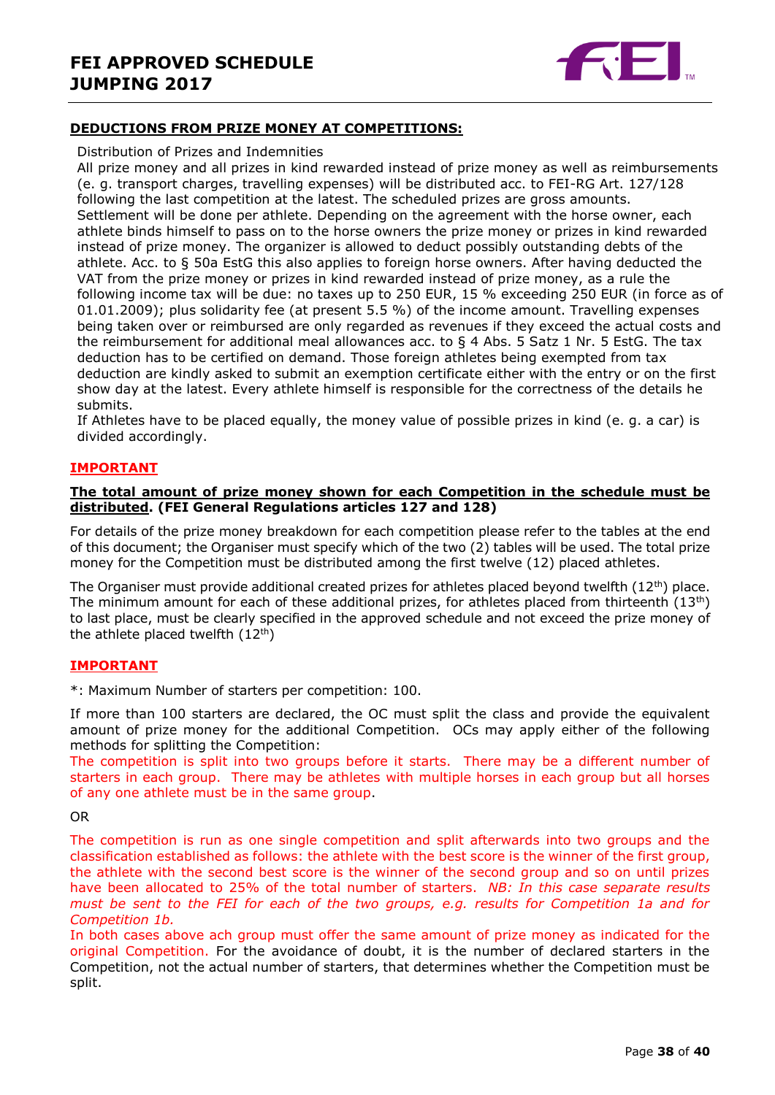

#### **DEDUCTIONS FROM PRIZE MONEY AT COMPETITIONS:**

#### Distribution of Prizes and Indemnities

All prize money and all prizes in kind rewarded instead of prize money as well as reimbursements (e. g. transport charges, travelling expenses) will be distributed acc. to FEI-RG Art. 127/128 following the last competition at the latest. The scheduled prizes are gross amounts. Settlement will be done per athlete. Depending on the agreement with the horse owner, each athlete binds himself to pass on to the horse owners the prize money or prizes in kind rewarded instead of prize money. The organizer is allowed to deduct possibly outstanding debts of the athlete. Acc. to § 50a EstG this also applies to foreign horse owners. After having deducted the VAT from the prize money or prizes in kind rewarded instead of prize money, as a rule the following income tax will be due: no taxes up to 250 EUR, 15 % exceeding 250 EUR (in force as of 01.01.2009); plus solidarity fee (at present 5.5 %) of the income amount. Travelling expenses being taken over or reimbursed are only regarded as revenues if they exceed the actual costs and the reimbursement for additional meal allowances acc. to  $\S$  4 Abs. 5 Satz 1 Nr. 5 EstG. The tax deduction has to be certified on demand. Those foreign athletes being exempted from tax deduction are kindly asked to submit an exemption certificate either with the entry or on the first show day at the latest. Every athlete himself is responsible for the correctness of the details he submits.

If Athletes have to be placed equally, the money value of possible prizes in kind (e. g. a car) is divided accordingly.

#### **IMPORTANT**

#### **The total amount of prize money shown for each Competition in the schedule must be distributed. (FEI General Regulations articles 127 and 128)**

For details of the prize money breakdown for each competition please refer to the tables at the end of this document; the Organiser must specify which of the two (2) tables will be used. The total prize money for the Competition must be distributed among the first twelve (12) placed athletes.

The Organiser must provide additional created prizes for athletes placed beyond twelfth  $(12^{th})$  place. The minimum amount for each of these additional prizes, for athletes placed from thirteenth  $(13<sup>th</sup>)$ to last place, must be clearly specified in the approved schedule and not exceed the prize money of the athlete placed twelfth  $(12<sup>th</sup>)$ 

#### **IMPORTANT**

\*: Maximum Number of starters per competition: 100.

If more than 100 starters are declared, the OC must split the class and provide the equivalent amount of prize money for the additional Competition. OCs may apply either of the following methods for splitting the Competition:

The competition is split into two groups before it starts. There may be a different number of starters in each group. There may be athletes with multiple horses in each group but all horses of any one athlete must be in the same group.

#### OR

The competition is run as one single competition and split afterwards into two groups and the classification established as follows: the athlete with the best score is the winner of the first group, the athlete with the second best score is the winner of the second group and so on until prizes have been allocated to 25% of the total number of starters. *NB: In this case separate results must be sent to the FEI for each of the two groups, e.g. results for Competition 1a and for Competition 1b.*

In both cases above ach group must offer the same amount of prize money as indicated for the original Competition. For the avoidance of doubt, it is the number of declared starters in the Competition, not the actual number of starters, that determines whether the Competition must be split.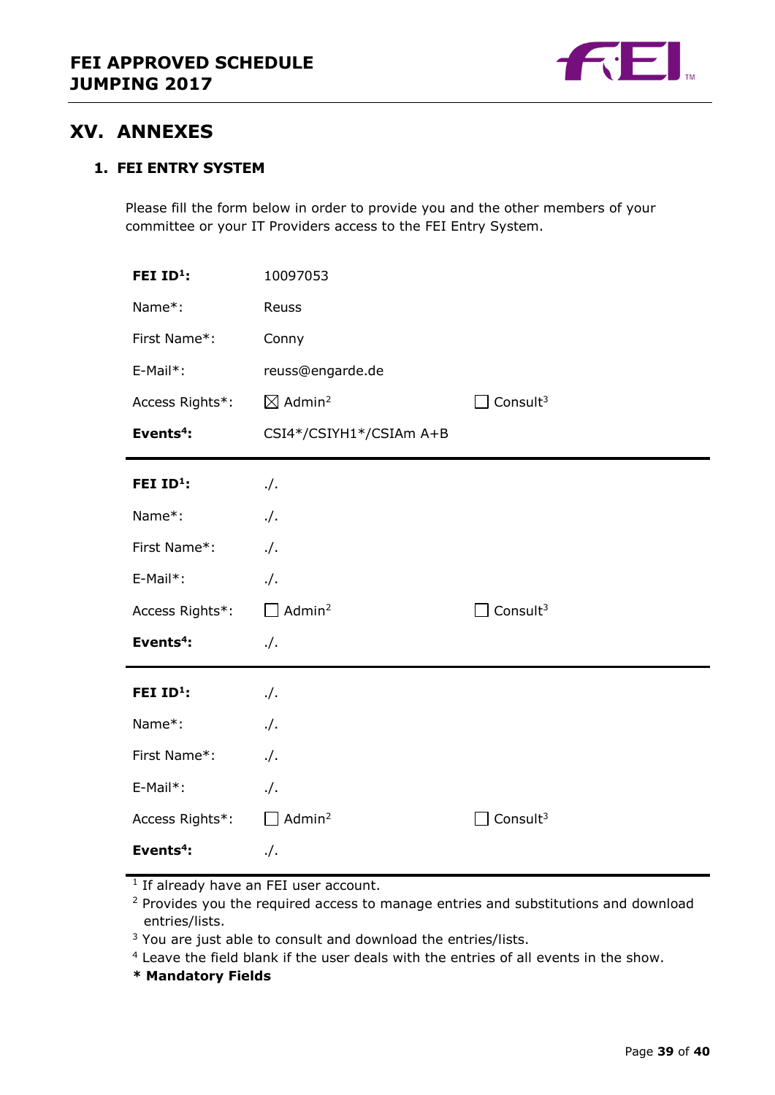

## <span id="page-38-0"></span>**XV. ANNEXES**

#### **1. FEI ENTRY SYSTEM**

Please fill the form below in order to provide you and the other members of your committee or your IT Providers access to the FEI Entry System.

| FEI ID <sup>1</sup> : | 10097053                       |                      |
|-----------------------|--------------------------------|----------------------|
| Name*:                | Reuss                          |                      |
| First Name*:          | Conny                          |                      |
| E-Mail*:              | reuss@engarde.de               |                      |
| Access Rights*:       | $\boxtimes$ Admin <sup>2</sup> | Consult <sup>3</sup> |
| Events <sup>4</sup> : | CSI4*/CSIYH1*/CSIAm A+B        |                      |
| FEI ID <sup>1</sup> : | $\cdot$ /.                     |                      |
| Name*:                | $\cdot$ /.                     |                      |
| First Name*:          | $\cdot$ /.                     |                      |
| E-Mail*:              | $\cdot$ /.                     |                      |
| Access Rights*:       | $\Box$ Admin <sup>2</sup>      | Consult <sup>3</sup> |
| Events <sup>4</sup> : | $\cdot$ /.                     |                      |
| FEI ID <sup>1</sup> : | $\cdot$ /.                     |                      |
| Name*:                | $\cdot$ /.                     |                      |
| First Name*:          | $\cdot$ /.                     |                      |
| E-Mail*:              | $\cdot$ /.                     |                      |
| Access Rights*:       | Admin <sup>2</sup>             | Consult <sup>3</sup> |
| Events <sup>4</sup> : | $\cdot$ /.                     |                      |

<sup>1</sup> If already have an FEI user account.

<sup>2</sup> Provides you the required access to manage entries and substitutions and download entries/lists.

<sup>3</sup> You are just able to consult and download the entries/lists.

<sup>4</sup> Leave the field blank if the user deals with the entries of all events in the show.

**\* Mandatory Fields**